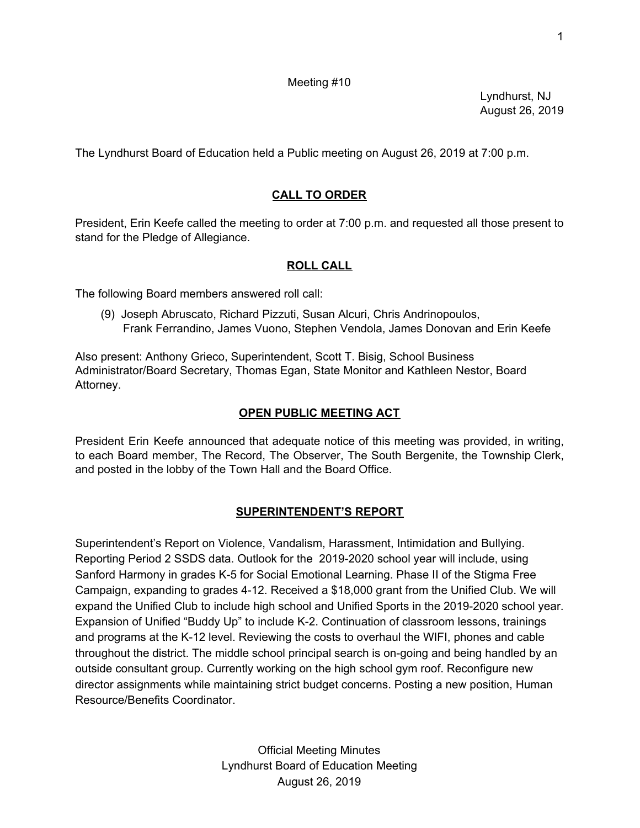## Meeting #10

Lyndhurst, NJ August 26, 2019

The Lyndhurst Board of Education held a Public meeting on August 26, 2019 at 7:00 p.m.

# **CALL TO ORDER**

President, Erin Keefe called the meeting to order at 7:00 p.m. and requested all those present to stand for the Pledge of Allegiance.

# **ROLL CALL**

The following Board members answered roll call:

(9) Joseph Abruscato, Richard Pizzuti, Susan Alcuri, Chris Andrinopoulos, Frank Ferrandino, James Vuono, Stephen Vendola, James Donovan and Erin Keefe

Also present: Anthony Grieco, Superintendent, Scott T. Bisig, School Business Administrator/Board Secretary, Thomas Egan, State Monitor and Kathleen Nestor, Board Attorney.

# **OPEN PUBLIC MEETING ACT**

President Erin Keefe announced that adequate notice of this meeting was provided, in writing, to each Board member, The Record, The Observer, The South Bergenite, the Township Clerk, and posted in the lobby of the Town Hall and the Board Office.

## **SUPERINTENDENT'S REPORT**

Superintendent's Report on Violence, Vandalism, Harassment, Intimidation and Bullying. Reporting Period 2 SSDS data. Outlook for the 2019-2020 school year will include, using Sanford Harmony in grades K-5 for Social Emotional Learning. Phase II of the Stigma Free Campaign, expanding to grades 4-12. Received a \$18,000 grant from the Unified Club. We will expand the Unified Club to include high school and Unified Sports in the 2019-2020 school year. Expansion of Unified "Buddy Up" to include K-2. Continuation of classroom lessons, trainings and programs at the K-12 level. Reviewing the costs to overhaul the WIFI, phones and cable throughout the district. The middle school principal search is on-going and being handled by an outside consultant group. Currently working on the high school gym roof. Reconfigure new director assignments while maintaining strict budget concerns. Posting a new position, Human Resource/Benefits Coordinator.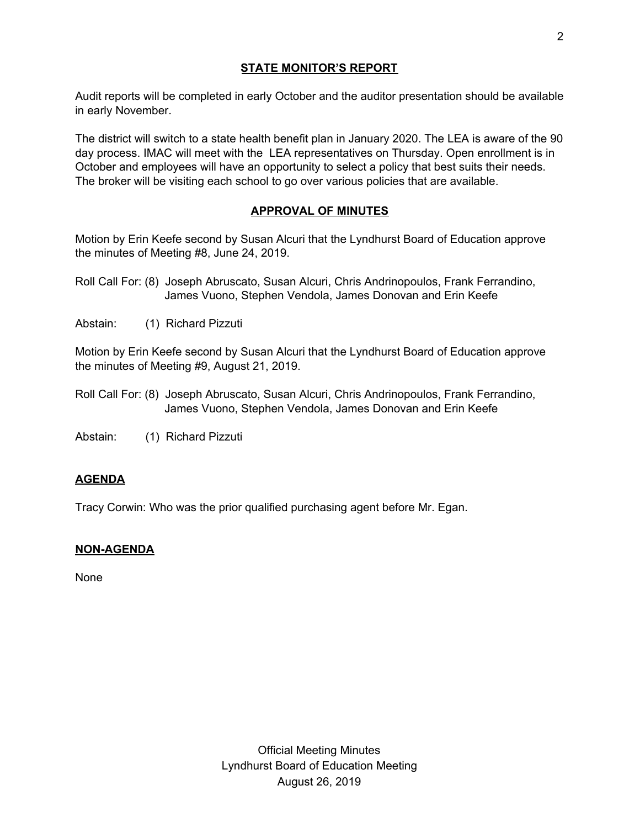# **STATE MONITOR'S REPORT**

Audit reports will be completed in early October and the auditor presentation should be available in early November.

The district will switch to a state health benefit plan in January 2020. The LEA is aware of the 90 day process. IMAC will meet with the LEA representatives on Thursday. Open enrollment is in October and employees will have an opportunity to select a policy that best suits their needs. The broker will be visiting each school to go over various policies that are available.

# **APPROVAL OF MINUTES**

Motion by Erin Keefe second by Susan Alcuri that the Lyndhurst Board of Education approve the minutes of Meeting #8, June 24, 2019.

Abstain: (1) Richard Pizzuti

Motion by Erin Keefe second by Susan Alcuri that the Lyndhurst Board of Education approve the minutes of Meeting #9, August 21, 2019.

Roll Call For: (8) Joseph Abruscato, Susan Alcuri, Chris Andrinopoulos, Frank Ferrandino, James Vuono, Stephen Vendola, James Donovan and Erin Keefe

Abstain: (1) Richard Pizzuti

## **AGENDA**

Tracy Corwin: Who was the prior qualified purchasing agent before Mr. Egan.

## **NON-AGENDA**

None

Roll Call For: (8) Joseph Abruscato, Susan Alcuri, Chris Andrinopoulos, Frank Ferrandino, James Vuono, Stephen Vendola, James Donovan and Erin Keefe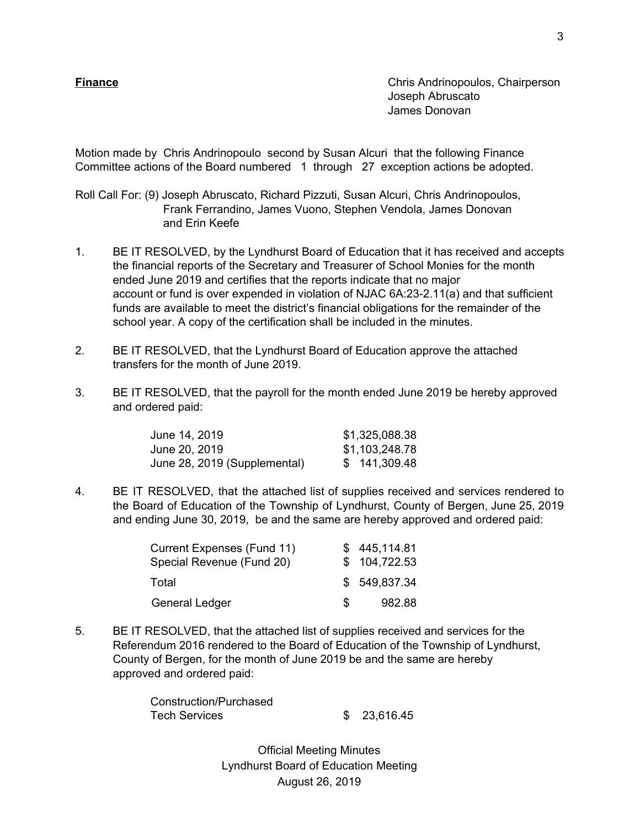**Finance Chris Andrinopoulos, Chairperson** Joseph Abruscato James Donovan

Motion made by Chris Andrinopoulo second by Susan Alcuri that the following Finance Committee actions of the Board numbered 1 through 27 exception actions be adopted.

Roll Call For: (9) Joseph Abruscato, Richard Pizzuti, Susan Alcuri, Chris Andrinopoulos, Frank Ferrandino, James Vuono, Stephen Vendola, James Donovan and Erin Keefe

- 1. BE IT RESOLVED, by the Lyndhurst Board of Education that it has received and accepts the financial reports of the Secretary and Treasurer of School Monies for the month ended June 2019 and certifies that the reports indicate that no major account or fund is over expended in violation of NJAC 6A:23-2.11(a) and that sufficient funds are available to meet the district's financial obligations for the remainder of the school year. A copy of the certification shall be included in the minutes.
- 2. BE IT RESOLVED, that the Lyndhurst Board of Education approve the attached transfers for the month of June 2019.
- 3. BE IT RESOLVED, that the payroll for the month ended June 2019 be hereby approved and ordered paid:

| June 14, 2019                | \$1,325,088.38 |
|------------------------------|----------------|
| June 20, 2019                | \$1,103,248.78 |
| June 28, 2019 (Supplemental) | \$141,309.48   |

4. BE IT RESOLVED, that the attached list of supplies received and services rendered to the Board of Education of the Township of Lyndhurst, County of Bergen, June 25, 2019 and ending June 30, 2019, be and the same are hereby approved and ordered paid:

| Current Expenses (Fund 11) |     | \$445,114.81 |
|----------------------------|-----|--------------|
| Special Revenue (Fund 20)  |     | \$104,722.53 |
| Total                      |     | \$549,837.34 |
| General Ledger             | SS. | 982.88       |

5. BE IT RESOLVED, that the attached list of supplies received and services for the Referendum 2016 rendered to the Board of Education of the Township of Lyndhurst, County of Bergen, for the month of June 2019 be and the same are hereby approved and ordered paid:

> Construction/Purchased Tech Services \$ 23,616.45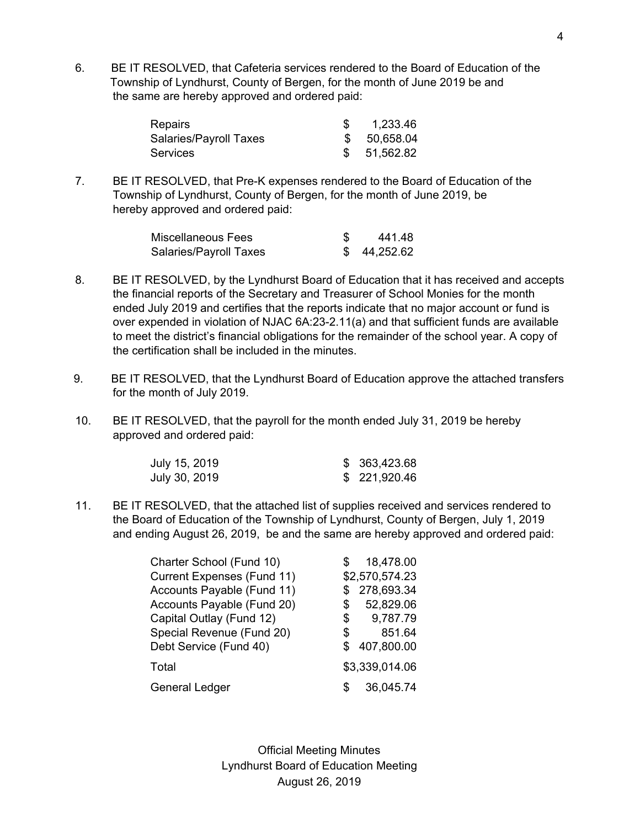6. BE IT RESOLVED, that Cafeteria services rendered to the Board of Education of the Township of Lyndhurst, County of Bergen, for the month of June 2019 be and the same are hereby approved and ordered paid:

| <b>Repairs</b>         | 1,233.46     |
|------------------------|--------------|
| Salaries/Payroll Taxes | \$ 50,658.04 |
| <b>Services</b>        | \$51,562.82  |

7. BE IT RESOLVED, that Pre-K expenses rendered to the Board of Education of the Township of Lyndhurst, County of Bergen, for the month of June 2019, be hereby approved and ordered paid:

| Miscellaneous Fees     | 441.48    |
|------------------------|-----------|
| Salaries/Payroll Taxes | 44,252.62 |

- 8. BE IT RESOLVED, by the Lyndhurst Board of Education that it has received and accepts the financial reports of the Secretary and Treasurer of School Monies for the month ended July 2019 and certifies that the reports indicate that no major account or fund is over expended in violation of NJAC 6A:23-2.11(a) and that sufficient funds are available to meet the district's financial obligations for the remainder of the school year. A copy of the certification shall be included in the minutes.
- 9. BE IT RESOLVED, that the Lyndhurst Board of Education approve the attached transfers for the month of July 2019.
- 10. BE IT RESOLVED, that the payroll for the month ended July 31, 2019 be hereby approved and ordered paid:

| July 15, 2019 | \$ 363,423.68 |
|---------------|---------------|
| July 30, 2019 | \$ 221,920.46 |

11. BE IT RESOLVED, that the attached list of supplies received and services rendered to the Board of Education of the Township of Lyndhurst, County of Bergen, July 1, 2019 and ending August 26, 2019, be and the same are hereby approved and ordered paid:

| Charter School (Fund 10)          |    | 18,478.00      |
|-----------------------------------|----|----------------|
| <b>Current Expenses (Fund 11)</b> |    | \$2,570,574.23 |
| Accounts Payable (Fund 11)        |    | 278,693.34     |
| Accounts Payable (Fund 20)        | S  | 52,829.06      |
| Capital Outlay (Fund 12)          | \$ | 9,787.79       |
| Special Revenue (Fund 20)         | \$ | 851.64         |
| Debt Service (Fund 40)            | S  | 407,800.00     |
| Total                             |    | \$3,339,014.06 |
| <b>General Ledger</b>             | S  | 36,045.74      |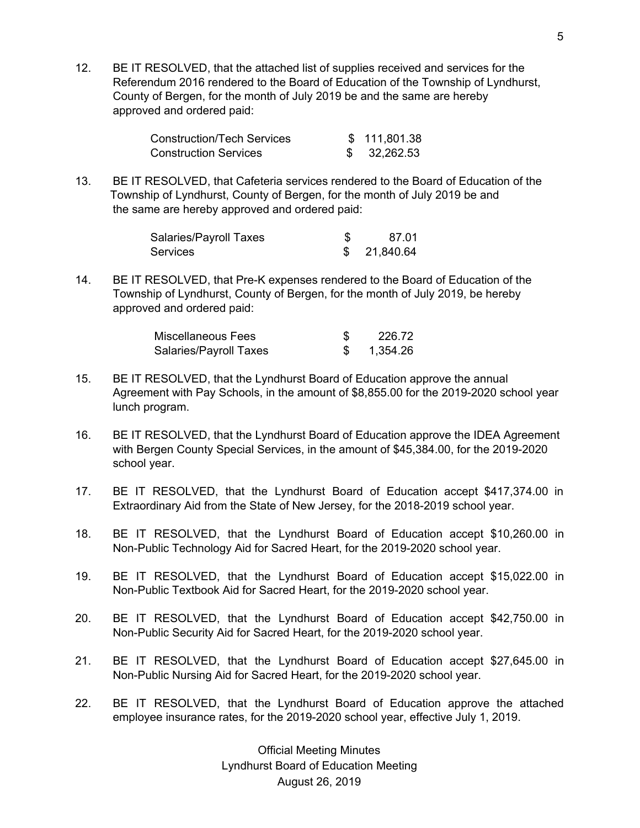12. BE IT RESOLVED, that the attached list of supplies received and services for the Referendum 2016 rendered to the Board of Education of the Township of Lyndhurst, County of Bergen, for the month of July 2019 be and the same are hereby approved and ordered paid:

| Construction/Tech Services   | \$111,801.38 |
|------------------------------|--------------|
| <b>Construction Services</b> | 32,262.53    |

13. BE IT RESOLVED, that Cafeteria services rendered to the Board of Education of the Township of Lyndhurst, County of Bergen, for the month of July 2019 be and the same are hereby approved and ordered paid:

| Salaries/Payroll Taxes | 87.01     |
|------------------------|-----------|
| <b>Services</b>        | 21,840.64 |

14. BE IT RESOLVED, that Pre-K expenses rendered to the Board of Education of the Township of Lyndhurst, County of Bergen, for the month of July 2019, be hereby approved and ordered paid:

| Miscellaneous Fees     | 226.72   |
|------------------------|----------|
| Salaries/Payroll Taxes | 1,354.26 |

- 15. BE IT RESOLVED, that the Lyndhurst Board of Education approve the annual Agreement with Pay Schools, in the amount of \$8,855.00 for the 2019-2020 school year lunch program.
- 16. BE IT RESOLVED, that the Lyndhurst Board of Education approve the IDEA Agreement with Bergen County Special Services, in the amount of \$45,384.00, for the 2019-2020 school year.
- 17. BE IT RESOLVED, that the Lyndhurst Board of Education accept \$417,374.00 in Extraordinary Aid from the State of New Jersey, for the 2018-2019 school year.
- 18. BE IT RESOLVED, that the Lyndhurst Board of Education accept \$10,260.00 in Non-Public Technology Aid for Sacred Heart, for the 2019-2020 school year.
- 19. BE IT RESOLVED, that the Lyndhurst Board of Education accept \$15,022.00 in Non-Public Textbook Aid for Sacred Heart, for the 2019-2020 school year.
- 20. BE IT RESOLVED, that the Lyndhurst Board of Education accept \$42,750.00 in Non-Public Security Aid for Sacred Heart, for the 2019-2020 school year.
- 21. BE IT RESOLVED, that the Lyndhurst Board of Education accept \$27,645.00 in Non-Public Nursing Aid for Sacred Heart, for the 2019-2020 school year.
- 22. BE IT RESOLVED, that the Lyndhurst Board of Education approve the attached employee insurance rates, for the 2019-2020 school year, effective July 1, 2019.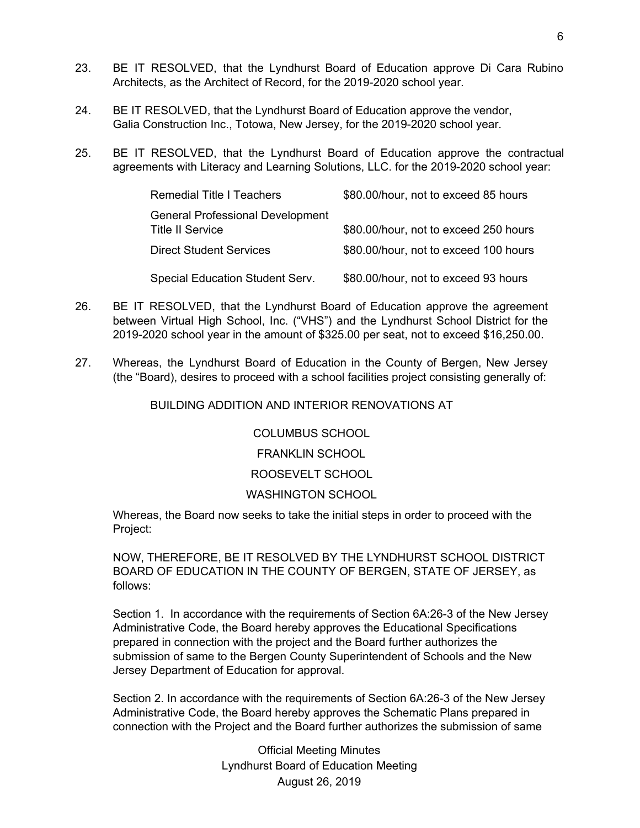- 23. BE IT RESOLVED, that the Lyndhurst Board of Education approve Di Cara Rubino Architects, as the Architect of Record, for the 2019-2020 school year.
- 24. BE IT RESOLVED, that the Lyndhurst Board of Education approve the vendor, Galia Construction Inc., Totowa, New Jersey, for the 2019-2020 school year.
- 25. BE IT RESOLVED, that the Lyndhurst Board of Education approve the contractual agreements with Literacy and Learning Solutions, LLC. for the 2019-2020 school year:

| <b>Remedial Title I Teachers</b>                                   | \$80.00/hour, not to exceed 85 hours  |
|--------------------------------------------------------------------|---------------------------------------|
| <b>General Professional Development</b><br><b>Title II Service</b> | \$80.00/hour, not to exceed 250 hours |
| <b>Direct Student Services</b>                                     | \$80.00/hour, not to exceed 100 hours |
| Special Education Student Serv.                                    | \$80.00/hour, not to exceed 93 hours  |

- 26. BE IT RESOLVED, that the Lyndhurst Board of Education approve the agreement between Virtual High School, Inc. ("VHS") and the Lyndhurst School District for the 2019-2020 school year in the amount of \$325.00 per seat, not to exceed \$16,250.00.
- 27. Whereas, the Lyndhurst Board of Education in the County of Bergen, New Jersey (the "Board), desires to proceed with a school facilities project consisting generally of:

BUILDING ADDITION AND INTERIOR RENOVATIONS AT

### COLUMBUS SCHOOL

# FRANKLIN SCHOOL

# ROOSEVELT SCHOOL

#### WASHINGTON SCHOOL

Whereas, the Board now seeks to take the initial steps in order to proceed with the Project:

NOW, THEREFORE, BE IT RESOLVED BY THE LYNDHURST SCHOOL DISTRICT BOARD OF EDUCATION IN THE COUNTY OF BERGEN, STATE OF JERSEY, as follows:

Section 1. In accordance with the requirements of Section 6A:26-3 of the New Jersey Administrative Code, the Board hereby approves the Educational Specifications prepared in connection with the project and the Board further authorizes the submission of same to the Bergen County Superintendent of Schools and the New Jersey Department of Education for approval.

Section 2. In accordance with the requirements of Section 6A:26-3 of the New Jersey Administrative Code, the Board hereby approves the Schematic Plans prepared in connection with the Project and the Board further authorizes the submission of same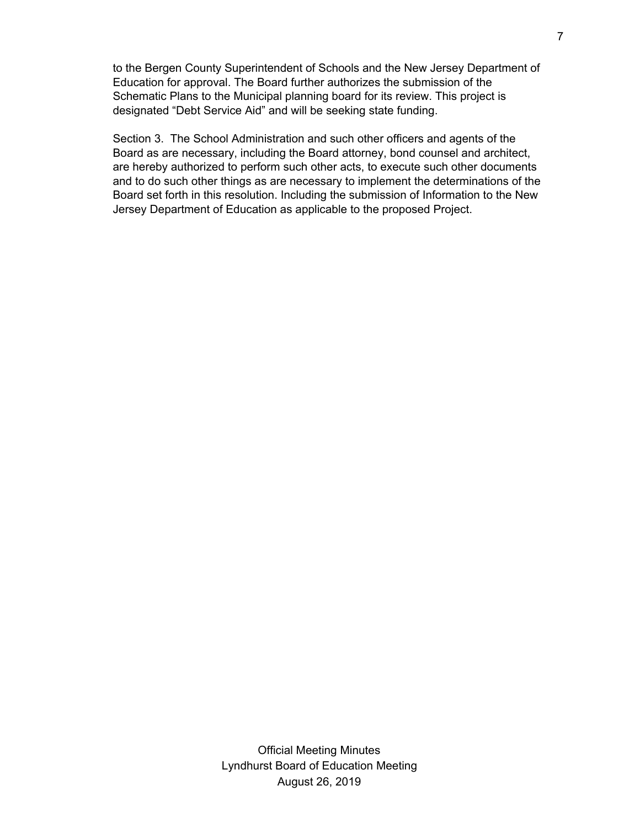to the Bergen County Superintendent of Schools and the New Jersey Department of Education for approval. The Board further authorizes the submission of the Schematic Plans to the Municipal planning board for its review. This project is designated "Debt Service Aid" and will be seeking state funding.

Section 3. The School Administration and such other officers and agents of the Board as are necessary, including the Board attorney, bond counsel and architect, are hereby authorized to perform such other acts, to execute such other documents and to do such other things as are necessary to implement the determinations of the Board set forth in this resolution. Including the submission of Information to the New Jersey Department of Education as applicable to the proposed Project.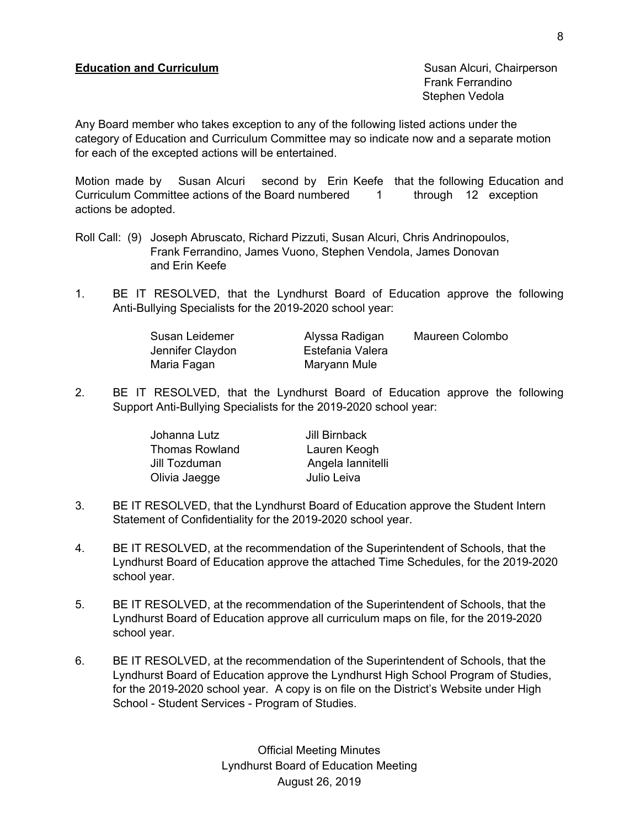Frank Ferrandino Stephen Vedola

Any Board member who takes exception to any of the following listed actions under the category of Education and Curriculum Committee may so indicate now and a separate motion for each of the excepted actions will be entertained.

Motion made by Susan Alcuri second by Erin Keefe that the following Education and Curriculum Committee actions of the Board numbered 1 through 12 exception actions be adopted.

- Roll Call: (9) Joseph Abruscato, Richard Pizzuti, Susan Alcuri, Chris Andrinopoulos, Frank Ferrandino, James Vuono, Stephen Vendola, James Donovan and Erin Keefe
- 1. BE IT RESOLVED, that the Lyndhurst Board of Education approve the following Anti-Bullying Specialists for the 2019-2020 school year:

| Susan Leidemer   | Alyssa Radigan   | Maureen Colombo |
|------------------|------------------|-----------------|
| Jennifer Claydon | Estefania Valera |                 |
| Maria Fagan      | Maryann Mule     |                 |

2. BE IT RESOLVED, that the Lyndhurst Board of Education approve the following Support Anti-Bullying Specialists for the 2019-2020 school year:

| Jill Birnback     |
|-------------------|
| Lauren Keogh      |
| Angela lannitelli |
| Julio Leiva       |
|                   |

- 3. BE IT RESOLVED, that the Lyndhurst Board of Education approve the Student Intern Statement of Confidentiality for the 2019-2020 school year.
- 4. BE IT RESOLVED, at the recommendation of the Superintendent of Schools, that the Lyndhurst Board of Education approve the attached Time Schedules, for the 2019-2020 school year.
- 5. BE IT RESOLVED, at the recommendation of the Superintendent of Schools, that the Lyndhurst Board of Education approve all curriculum maps on file, for the 2019-2020 school year.
- 6. BE IT RESOLVED, at the recommendation of the Superintendent of Schools, that the Lyndhurst Board of Education approve the Lyndhurst High School Program of Studies, for the 2019-2020 school year. A copy is on file on the District's Website under High School - Student Services - Program of Studies.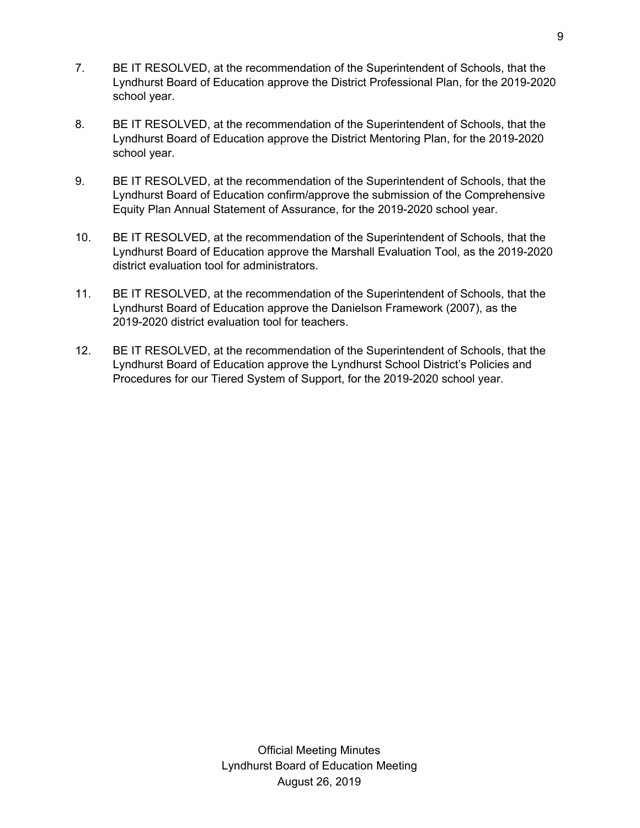- 7. BE IT RESOLVED, at the recommendation of the Superintendent of Schools, that the Lyndhurst Board of Education approve the District Professional Plan, for the 2019-2020 school year.
- 8. BE IT RESOLVED, at the recommendation of the Superintendent of Schools, that the Lyndhurst Board of Education approve the District Mentoring Plan, for the 2019-2020 school year.
- 9. BE IT RESOLVED, at the recommendation of the Superintendent of Schools, that the Lyndhurst Board of Education confirm/approve the submission of the Comprehensive Equity Plan Annual Statement of Assurance, for the 2019-2020 school year.
- 10. BE IT RESOLVED, at the recommendation of the Superintendent of Schools, that the Lyndhurst Board of Education approve the Marshall Evaluation Tool, as the 2019-2020 district evaluation tool for administrators.
- 11. BE IT RESOLVED, at the recommendation of the Superintendent of Schools, that the Lyndhurst Board of Education approve the Danielson Framework (2007), as the 2019-2020 district evaluation tool for teachers.
- 12. BE IT RESOLVED, at the recommendation of the Superintendent of Schools, that the Lyndhurst Board of Education approve the Lyndhurst School District's Policies and Procedures for our Tiered System of Support, for the 2019-2020 school year.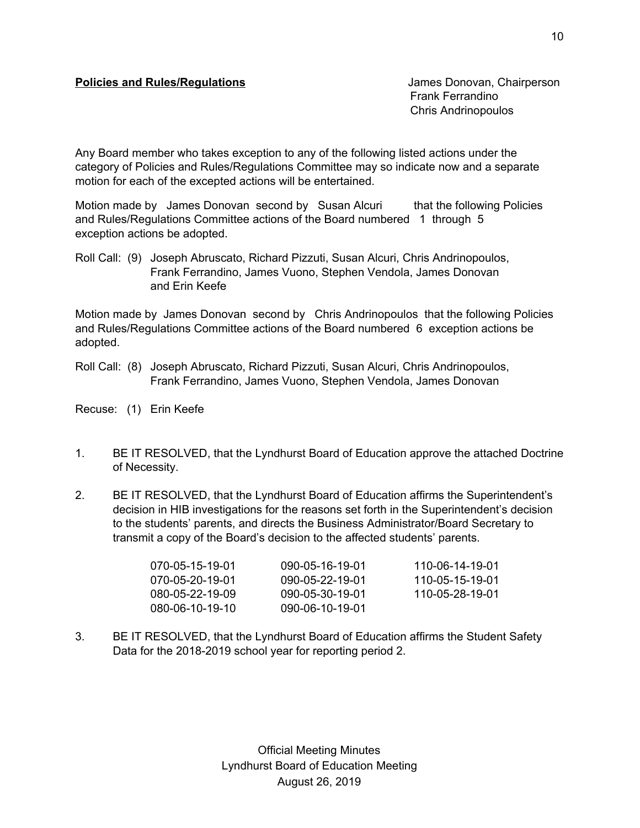## **Policies and Rules/Regulations Chairperson** James Donovan, Chairperson

Frank Ferrandino Chris Andrinopoulos

Any Board member who takes exception to any of the following listed actions under the category of Policies and Rules/Regulations Committee may so indicate now and a separate motion for each of the excepted actions will be entertained.

Motion made by James Donovan second by Susan Alcuri that the following Policies and Rules/Regulations Committee actions of the Board numbered 1 through 5 exception actions be adopted.

Roll Call: (9) Joseph Abruscato, Richard Pizzuti, Susan Alcuri, Chris Andrinopoulos, Frank Ferrandino, James Vuono, Stephen Vendola, James Donovan and Erin Keefe

Motion made by James Donovan second by Chris Andrinopoulos that the following Policies and Rules/Regulations Committee actions of the Board numbered 6 exception actions be adopted.

Roll Call: (8) Joseph Abruscato, Richard Pizzuti, Susan Alcuri, Chris Andrinopoulos, Frank Ferrandino, James Vuono, Stephen Vendola, James Donovan

Recuse: (1) Erin Keefe

- 1. BE IT RESOLVED, that the Lyndhurst Board of Education approve the attached Doctrine of Necessity.
- 2. BE IT RESOLVED, that the Lyndhurst Board of Education affirms the Superintendent's decision in HIB investigations for the reasons set forth in the Superintendent's decision to the students' parents, and directs the Business Administrator/Board Secretary to transmit a copy of the Board's decision to the affected students' parents.

| 070-05-15-19-01 | 090-05-16-19-01 | 110-06-14-19-01 |
|-----------------|-----------------|-----------------|
| 070-05-20-19-01 | 090-05-22-19-01 | 110-05-15-19-01 |
| 080-05-22-19-09 | 090-05-30-19-01 | 110-05-28-19-01 |
| 080-06-10-19-10 | 090-06-10-19-01 |                 |

3. BE IT RESOLVED, that the Lyndhurst Board of Education affirms the Student Safety Data for the 2018-2019 school year for reporting period 2.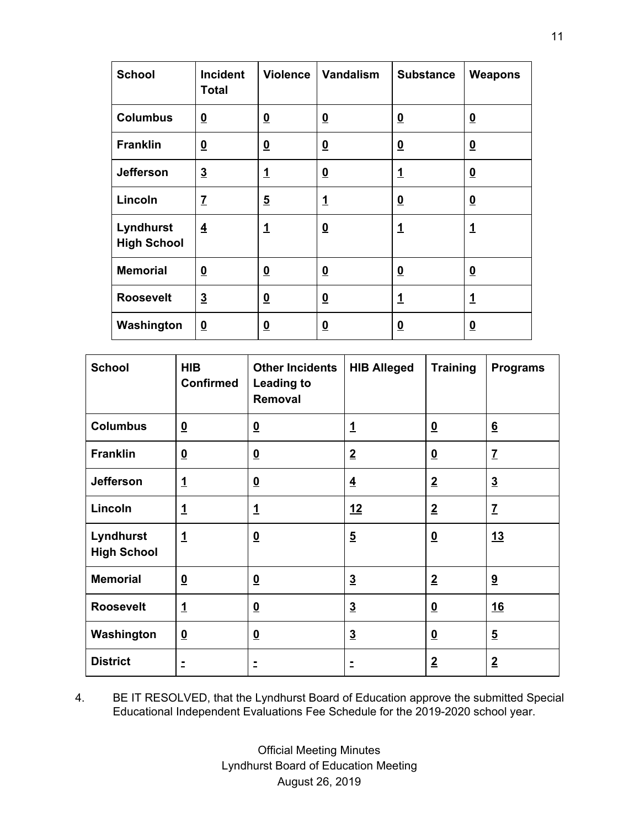| <b>School</b>                   | <b>Incident</b><br><b>Total</b> | <b>Violence</b>          | Vandalism                | <b>Substance</b>        | <b>Weapons</b>           |
|---------------------------------|---------------------------------|--------------------------|--------------------------|-------------------------|--------------------------|
| <b>Columbus</b>                 | $\overline{\mathbf{0}}$         | $\underline{\mathbf{0}}$ | $\underline{\mathbf{0}}$ | $\overline{\mathbf{0}}$ | $\overline{\mathbf{0}}$  |
| <b>Franklin</b>                 | $\overline{\mathbf{0}}$         | $\underline{\mathbf{0}}$ | $\overline{\mathbf{0}}$  | $\overline{\mathbf{0}}$ | $\overline{\mathbf{0}}$  |
| <b>Jefferson</b>                | $\overline{\mathbf{3}}$         | $\overline{1}$           | $\overline{\mathbf{0}}$  | <u>1</u>                | $\underline{\mathbf{0}}$ |
| Lincoln                         | $\overline{I}$                  | $\overline{\mathbf{5}}$  | $\mathbf 1$              | $\overline{\mathbf{0}}$ | $\overline{\mathbf{0}}$  |
| Lyndhurst<br><b>High School</b> | $\overline{4}$                  | 1                        | $\overline{\mathbf{0}}$  | $\mathbf{1}$            | $\mathbf{1}$             |
| <b>Memorial</b>                 | $\overline{\mathbf{0}}$         | $\overline{\mathbf{0}}$  | $\overline{\mathbf{0}}$  | $\overline{\mathbf{0}}$ | $\overline{\mathbf{0}}$  |
| <b>Roosevelt</b>                | $\overline{3}$                  | $\underline{\mathbf{0}}$ | $\overline{\mathbf{0}}$  | 1                       | $\overline{1}$           |
| Washington                      | $\overline{\mathbf{0}}$         | $\overline{\mathbf{0}}$  | $\overline{\mathbf{0}}$  | <u>0</u>                | $\overline{\mathbf{0}}$  |

| <b>School</b>                   | <b>HIB</b><br><b>Confirmed</b> | <b>Other Incidents</b><br><b>Leading to</b><br>Removal | <b>HIB Alleged</b> | <b>Training</b>          | <b>Programs</b> |
|---------------------------------|--------------------------------|--------------------------------------------------------|--------------------|--------------------------|-----------------|
| <b>Columbus</b>                 | $\underline{\mathbf{0}}$       | $\overline{\mathbf{0}}$                                | $\mathbf{1}$       | $\overline{\mathbf{0}}$  | $6\overline{6}$ |
| <b>Franklin</b>                 | $\overline{\mathbf{0}}$        | $\underline{\mathbf{0}}$                               | $\overline{2}$     | $\underline{\mathbf{0}}$ | $\overline{I}$  |
| <b>Jefferson</b>                | $\mathbf{1}$                   | $\underline{\mathbf{0}}$                               | $\overline{4}$     | $\overline{2}$           | $\overline{3}$  |
| Lincoln                         | $\mathbf{1}$                   | <u>1</u>                                               | 12                 | $\overline{2}$           | $\overline{I}$  |
| Lyndhurst<br><b>High School</b> | $\mathbf{1}$                   | $\overline{\mathbf{0}}$                                | $\overline{5}$     | $\underline{\mathbf{0}}$ | 13              |
| <b>Memorial</b>                 | $\overline{\mathbf{0}}$        | $\overline{\mathbf{0}}$                                | $\overline{3}$     | $\overline{2}$           | 9               |
| <b>Roosevelt</b>                | $\mathbf{1}$                   | $\overline{\mathbf{0}}$                                | $\overline{3}$     | $\overline{\mathbf{0}}$  | <u>16</u>       |
| Washington                      | $\overline{\mathbf{0}}$        | $\underline{\mathbf{0}}$                               | $\overline{3}$     | $\underline{\mathbf{0}}$ | $\overline{5}$  |
| <b>District</b>                 | Ξ                              | Ξ                                                      | Ξ                  | $\overline{2}$           | $\overline{2}$  |

4. BE IT RESOLVED, that the Lyndhurst Board of Education approve the submitted Special Educational Independent Evaluations Fee Schedule for the 2019-2020 school year.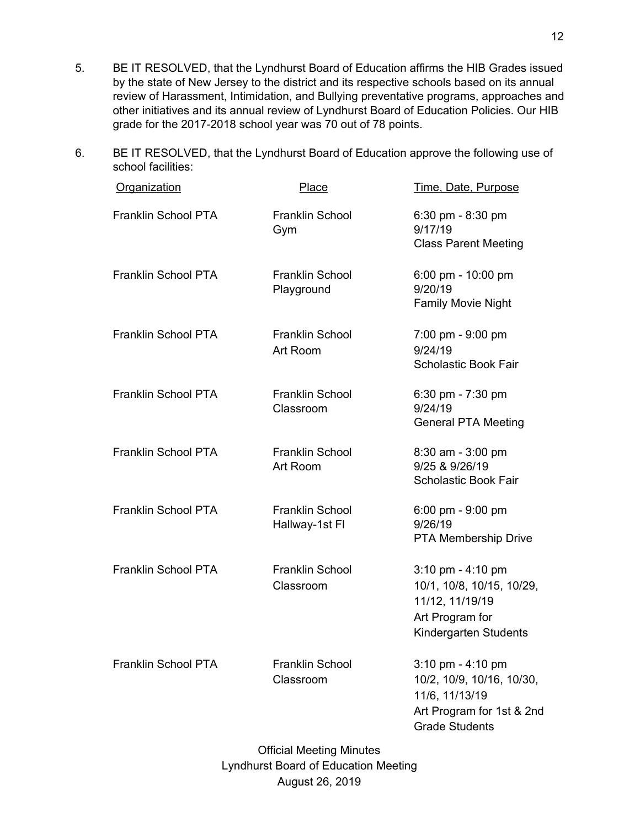- 5. BE IT RESOLVED, that the Lyndhurst Board of Education affirms the HIB Grades issued by the state of New Jersey to the district and its respective schools based on its annual review of Harassment, Intimidation, and Bullying preventative programs, approaches and other initiatives and its annual review of Lyndhurst Board of Education Policies. Our HIB grade for the 2017-2018 school year was 70 out of 78 points.
- 6. BE IT RESOLVED, that the Lyndhurst Board of Education approve the following use of school facilities:

| Organization               | <b>Place</b>                             | Time, Date, Purpose                                                                                                                      |
|----------------------------|------------------------------------------|------------------------------------------------------------------------------------------------------------------------------------------|
| Franklin School PTA        | <b>Franklin School</b><br>Gym            | 6:30 pm - 8:30 pm<br>9/17/19<br><b>Class Parent Meeting</b>                                                                              |
| Franklin School PTA        | <b>Franklin School</b><br>Playground     | $6:00 \text{ pm} - 10:00 \text{ pm}$<br>9/20/19<br><b>Family Movie Night</b>                                                             |
| Franklin School PTA        | <b>Franklin School</b><br>Art Room       | 7:00 pm - 9:00 pm<br>9/24/19<br><b>Scholastic Book Fair</b>                                                                              |
| Franklin School PTA        | <b>Franklin School</b><br>Classroom      | $6:30 \text{ pm} - 7:30 \text{ pm}$<br>9/24/19<br><b>General PTA Meeting</b>                                                             |
| Franklin School PTA        | Franklin School<br>Art Room              | 8:30 am - 3:00 pm<br>9/25 & 9/26/19<br><b>Scholastic Book Fair</b>                                                                       |
| Franklin School PTA        | <b>Franklin School</b><br>Hallway-1st Fl | $6:00 \text{ pm} - 9:00 \text{ pm}$<br>9/26/19<br><b>PTA Membership Drive</b>                                                            |
| <b>Franklin School PTA</b> | <b>Franklin School</b><br>Classroom      | 3:10 pm - 4:10 pm<br>10/1, 10/8, 10/15, 10/29,<br>11/12, 11/19/19<br>Art Program for<br>Kindergarten Students                            |
| Franklin School PTA        | Franklin School<br>Classroom             | $3:10 \text{ pm} - 4:10 \text{ pm}$<br>10/2, 10/9, 10/16, 10/30,<br>11/6, 11/13/19<br>Art Program for 1st & 2nd<br><b>Grade Students</b> |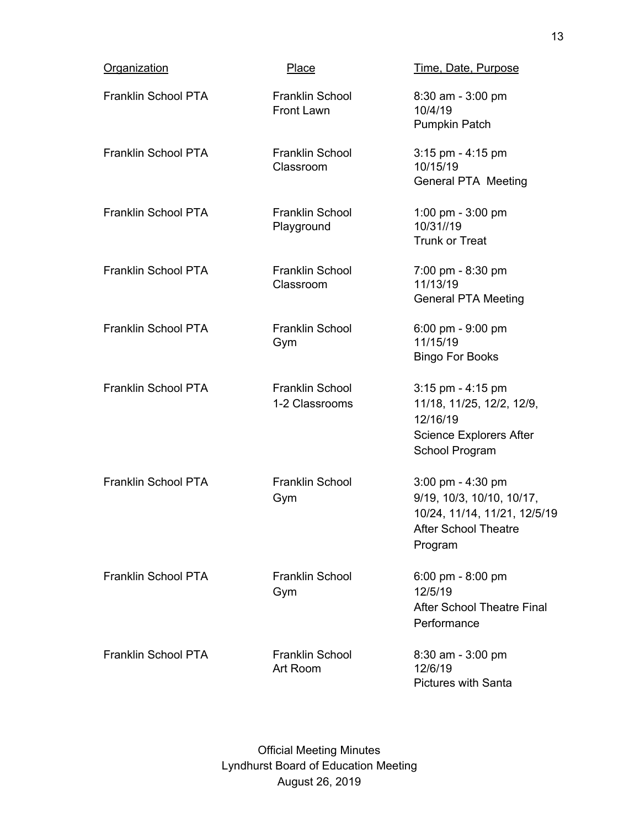| <b>Organization</b>        | Place                                       | Time, Date, Purpose                                                                                                                        |
|----------------------------|---------------------------------------------|--------------------------------------------------------------------------------------------------------------------------------------------|
| Franklin School PTA        | <b>Franklin School</b><br><b>Front Lawn</b> | 8:30 am - 3:00 pm<br>10/4/19<br>Pumpkin Patch                                                                                              |
| Franklin School PTA        | Franklin School<br>Classroom                | $3:15$ pm - $4:15$ pm<br>10/15/19<br><b>General PTA Meeting</b>                                                                            |
| Franklin School PTA        | Franklin School<br>Playground               | 1:00 pm - $3:00$ pm<br>10/31//19<br><b>Trunk or Treat</b>                                                                                  |
| Franklin School PTA        | Franklin School<br>Classroom                | 7:00 pm - 8:30 pm<br>11/13/19<br><b>General PTA Meeting</b>                                                                                |
| Franklin School PTA        | <b>Franklin School</b><br>Gym               | 6:00 pm - $9:00$ pm<br>11/15/19<br><b>Bingo For Books</b>                                                                                  |
| Franklin School PTA        | <b>Franklin School</b><br>1-2 Classrooms    | $3:15$ pm - $4:15$ pm<br>11/18, 11/25, 12/2, 12/9,<br>12/16/19<br>Science Explorers After<br>School Program                                |
| <b>Franklin School PTA</b> | <b>Franklin School</b><br>Gym               | $3:00 \text{ pm} - 4:30 \text{ pm}$<br>9/19, 10/3, 10/10, 10/17,<br>10/24, 11/14, 11/21, 12/5/19<br><b>After School Theatre</b><br>Program |
| <b>Franklin School PTA</b> | <b>Franklin School</b><br>Gym               | 6:00 pm - 8:00 pm<br>12/5/19<br><b>After School Theatre Final</b><br>Performance                                                           |
| <b>Franklin School PTA</b> | <b>Franklin School</b><br>Art Room          | $8:30$ am - $3:00$ pm<br>12/6/19<br>Pictures with Santa                                                                                    |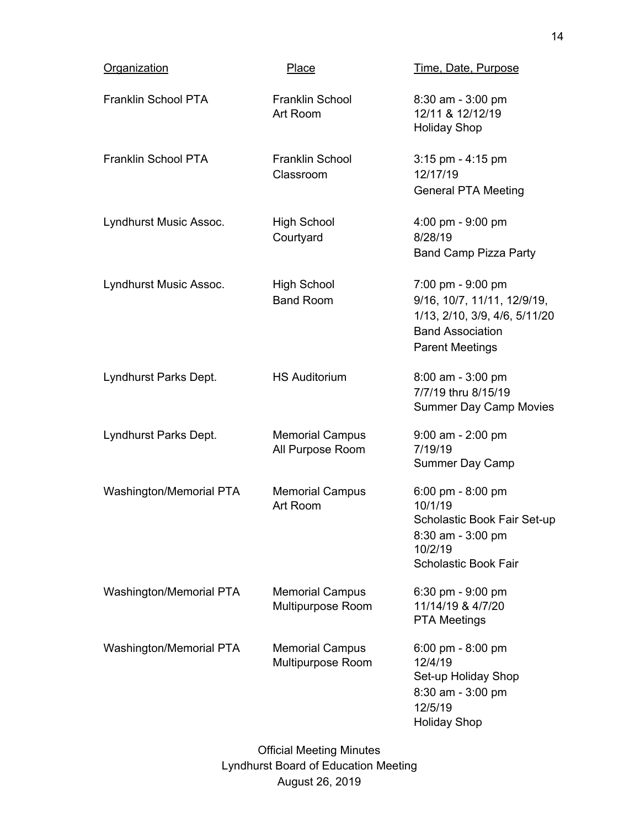| Organization            | Place                                       | Time, Date, Purpose                                                                                                                    |
|-------------------------|---------------------------------------------|----------------------------------------------------------------------------------------------------------------------------------------|
| Franklin School PTA     | Franklin School<br>Art Room                 | 8:30 am - 3:00 pm<br>12/11 & 12/12/19<br><b>Holiday Shop</b>                                                                           |
| Franklin School PTA     | <b>Franklin School</b><br>Classroom         | 3:15 pm - 4:15 pm<br>12/17/19<br><b>General PTA Meeting</b>                                                                            |
| Lyndhurst Music Assoc.  | <b>High School</b><br>Courtyard             | 4:00 pm - 9:00 pm<br>8/28/19<br><b>Band Camp Pizza Party</b>                                                                           |
| Lyndhurst Music Assoc.  | <b>High School</b><br><b>Band Room</b>      | 7:00 pm - 9:00 pm<br>9/16, 10/7, 11/11, 12/9/19,<br>1/13, 2/10, 3/9, 4/6, 5/11/20<br><b>Band Association</b><br><b>Parent Meetings</b> |
| Lyndhurst Parks Dept.   | <b>HS Auditorium</b>                        | $8:00$ am - $3:00$ pm<br>7/7/19 thru 8/15/19<br><b>Summer Day Camp Movies</b>                                                          |
| Lyndhurst Parks Dept.   | <b>Memorial Campus</b><br>All Purpose Room  | $9:00$ am - 2:00 pm<br>7/19/19<br>Summer Day Camp                                                                                      |
| Washington/Memorial PTA | <b>Memorial Campus</b><br>Art Room          | 6:00 pm - 8:00 pm<br>10/1/19<br>Scholastic Book Fair Set-up<br>$8:30$ am - $3:00$ pm<br>10/2/19<br><b>Scholastic Book Fair</b>         |
| Washington/Memorial PTA | <b>Memorial Campus</b><br>Multipurpose Room | 6:30 pm - 9:00 pm<br>11/14/19 & 4/7/20<br><b>PTA Meetings</b>                                                                          |
| Washington/Memorial PTA | <b>Memorial Campus</b><br>Multipurpose Room | $6:00 \text{ pm} - 8:00 \text{ pm}$<br>12/4/19<br>Set-up Holiday Shop<br>8:30 am - 3:00 pm<br>12/5/19<br><b>Holiday Shop</b>           |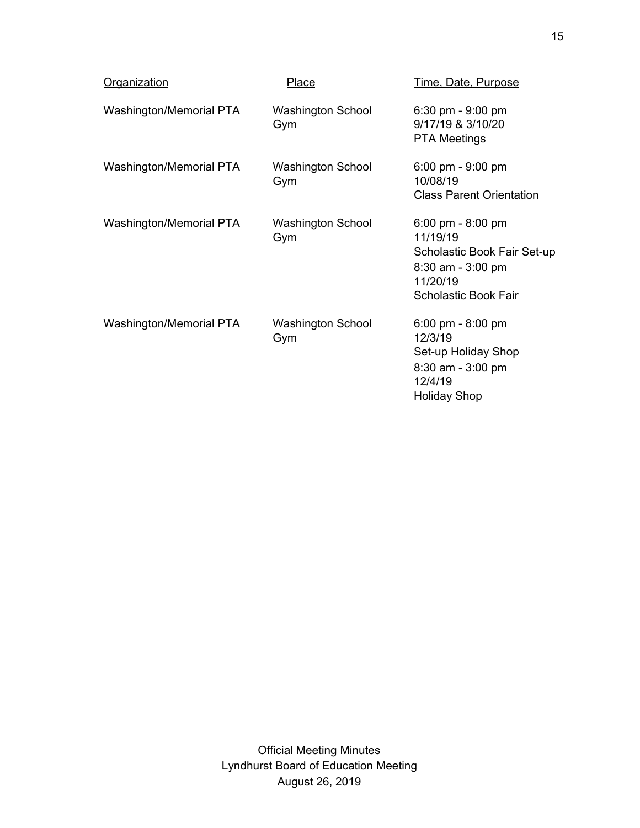| <b>Organization</b>     | Place                           | <u>Time, Date, Purpose</u>                                                                                                       |
|-------------------------|---------------------------------|----------------------------------------------------------------------------------------------------------------------------------|
| Washington/Memorial PTA | <b>Washington School</b><br>Gym | $6:30$ pm - $9:00$ pm<br>9/17/19 & 3/10/20<br><b>PTA Meetings</b>                                                                |
| Washington/Memorial PTA | <b>Washington School</b><br>Gym | 6:00 pm - $9:00$ pm<br>10/08/19<br><b>Class Parent Orientation</b>                                                               |
| Washington/Memorial PTA | <b>Washington School</b><br>Gym | 6:00 pm - 8:00 pm<br>11/19/19<br>Scholastic Book Fair Set-up<br>$8:30$ am - $3:00$ pm<br>11/20/19<br><b>Scholastic Book Fair</b> |
| Washington/Memorial PTA | <b>Washington School</b><br>Gym | 6:00 pm - 8:00 pm<br>12/3/19<br>Set-up Holiday Shop<br>$8:30$ am - $3:00$ pm<br>12/4/19<br><b>Holiday Shop</b>                   |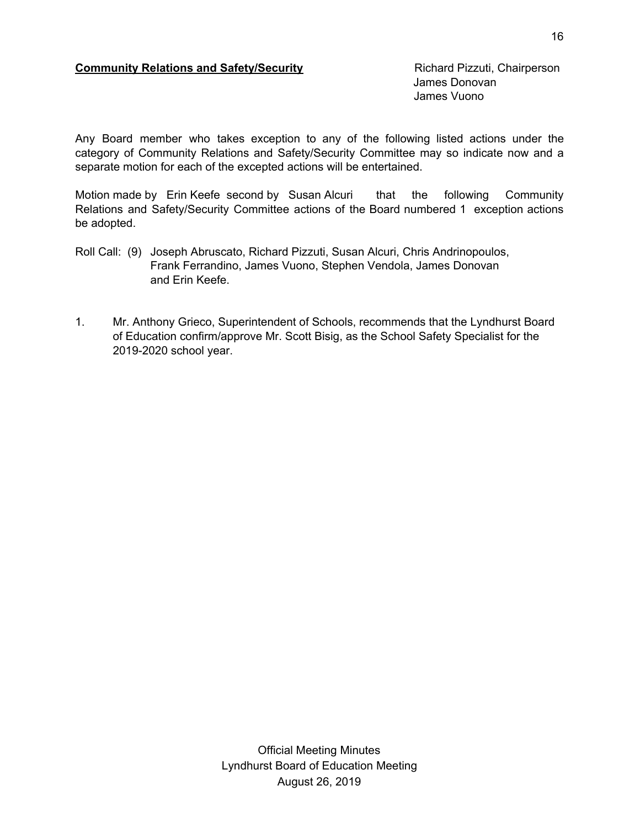### **Community Relations and Safety/Security** Richard Pizzuti, Chairperson

James Donovan James Vuono

Any Board member who takes exception to any of the following listed actions under the category of Community Relations and Safety/Security Committee may so indicate now and a separate motion for each of the excepted actions will be entertained.

Motion made by Erin Keefe second by Susan Alcuri that the following Community Relations and Safety/Security Committee actions of the Board numbered 1 exception actions be adopted.

- Roll Call: (9) Joseph Abruscato, Richard Pizzuti, Susan Alcuri, Chris Andrinopoulos, Frank Ferrandino, James Vuono, Stephen Vendola, James Donovan and Erin Keefe.
- 1. Mr. Anthony Grieco, Superintendent of Schools, recommends that the Lyndhurst Board of Education confirm/approve Mr. Scott Bisig, as the School Safety Specialist for the 2019-2020 school year.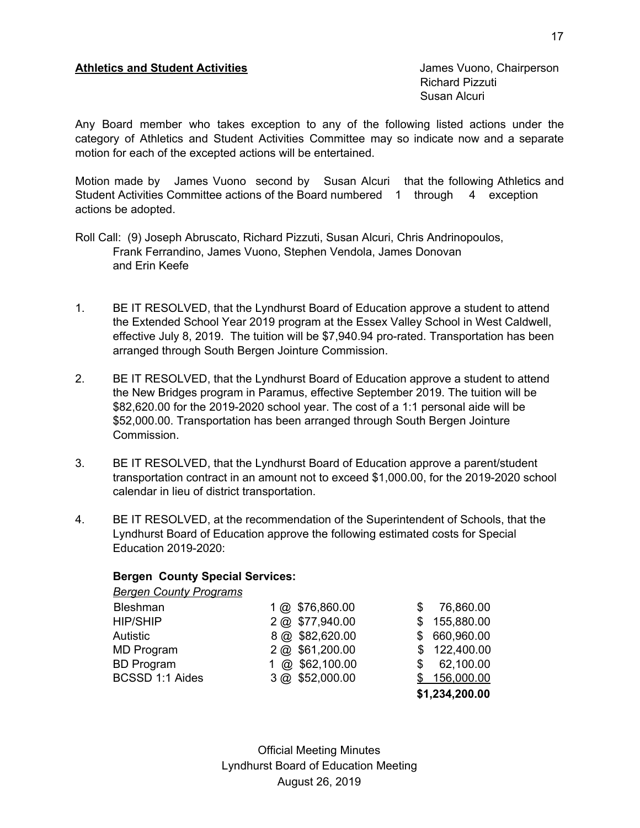## **Athletics and Student Activities** James Vuono, Chairperson

Richard Pizzuti Susan Alcuri

Any Board member who takes exception to any of the following listed actions under the category of Athletics and Student Activities Committee may so indicate now and a separate motion for each of the excepted actions will be entertained.

Motion made by James Vuono second by Susan Alcuri that the following Athletics and Student Activities Committee actions of the Board numbered 1 through 4 exception actions be adopted.

- Roll Call: (9) Joseph Abruscato, Richard Pizzuti, Susan Alcuri, Chris Andrinopoulos, Frank Ferrandino, James Vuono, Stephen Vendola, James Donovan and Erin Keefe
- 1. BE IT RESOLVED, that the Lyndhurst Board of Education approve a student to attend the Extended School Year 2019 program at the Essex Valley School in West Caldwell, effective July 8, 2019. The tuition will be \$7,940.94 pro-rated. Transportation has been arranged through South Bergen Jointure Commission.
- 2. BE IT RESOLVED, that the Lyndhurst Board of Education approve a student to attend the New Bridges program in Paramus, effective September 2019. The tuition will be \$82,620.00 for the 2019-2020 school year. The cost of a 1:1 personal aide will be \$52,000.00. Transportation has been arranged through South Bergen Jointure Commission.
- 3. BE IT RESOLVED, that the Lyndhurst Board of Education approve a parent/student transportation contract in an amount not to exceed \$1,000.00, for the 2019-2020 school calendar in lieu of district transportation.
- 4. BE IT RESOLVED, at the recommendation of the Superintendent of Schools, that the Lyndhurst Board of Education approve the following estimated costs for Special Education 2019-2020:

## **Bergen County Special Services:**

| <b>Bergen County Programs</b> |                 |    |                |
|-------------------------------|-----------------|----|----------------|
| Bleshman                      | 1 @ \$76,860.00 |    | 76,860.00      |
| <b>HIP/SHIP</b>               | 2 @ \$77,940.00 | S. | 155,880.00     |
| <b>Autistic</b>               | 8 @ \$82,620.00 | S. | 660,960.00     |
| <b>MD Program</b>             | 2 @ \$61,200.00 |    | 122,400.00     |
| <b>BD Program</b>             | @ \$62,100.00   | S  | 62,100.00      |
| BCSSD 1:1 Aides               | 3 @ \$52,000.00 |    | \$156,000.00   |
|                               |                 |    | \$1,234,200.00 |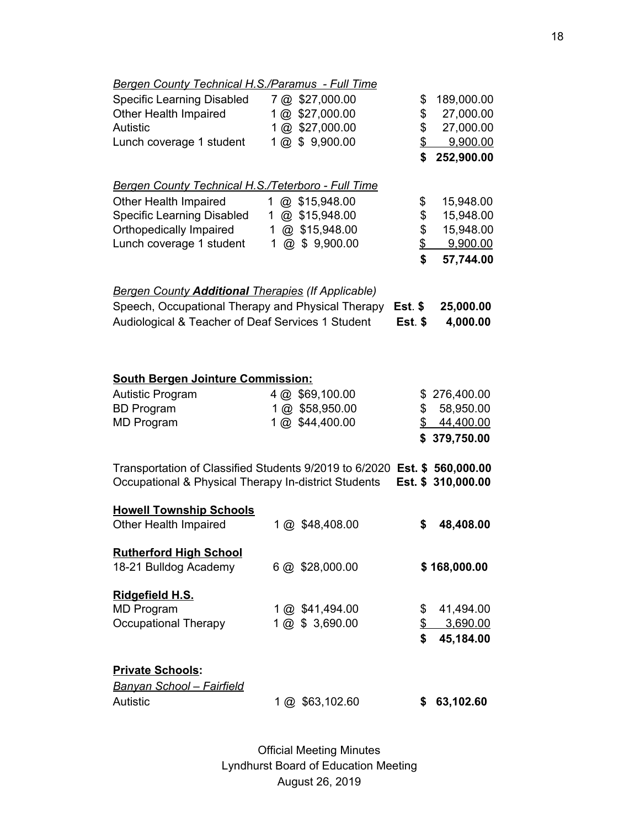| <b>Bergen County Technical H.S./Paramus - Full Time</b>                                                                           |                              |          |                    |
|-----------------------------------------------------------------------------------------------------------------------------------|------------------------------|----------|--------------------|
| <b>Specific Learning Disabled</b>                                                                                                 | 7 @ \$27,000.00              | \$       | 189,000.00         |
| Other Health Impaired                                                                                                             | 1@ \$27,000.00               | \$       | 27,000.00          |
| <b>Autistic</b>                                                                                                                   | 1 @ \$27,000.00              | \$       | 27,000.00          |
| Lunch coverage 1 student                                                                                                          | 1 @ \$ 9,900.00              | \$       | 9,900.00           |
|                                                                                                                                   |                              | \$       | 252,900.00         |
|                                                                                                                                   |                              |          |                    |
| Bergen County Technical H.S./Teterboro - Full Time                                                                                |                              |          |                    |
| Other Health Impaired                                                                                                             | @ \$15,948.00<br>1           | \$       | 15,948.00          |
| <b>Specific Learning Disabled</b>                                                                                                 | @ \$15,948.00<br>$\mathbf 1$ | \$       | 15,948.00          |
| Orthopedically Impaired                                                                                                           | @ \$15,948.00<br>$\mathbf 1$ | \$       | 15,948.00          |
| Lunch coverage 1 student                                                                                                          | $@$ \$ 9,900.00<br>1         | \$       | 9,900.00           |
|                                                                                                                                   |                              | \$       | 57,744.00          |
| <b>Bergen County Additional Therapies (If Applicable)</b>                                                                         |                              |          |                    |
| Speech, Occupational Therapy and Physical Therapy                                                                                 |                              | Est. $$$ |                    |
|                                                                                                                                   |                              |          | 25,000.00          |
| Audiological & Teacher of Deaf Services 1 Student                                                                                 |                              | Est. \$  | 4,000.00           |
|                                                                                                                                   |                              |          |                    |
|                                                                                                                                   |                              |          |                    |
| <b>South Bergen Jointure Commission:</b>                                                                                          |                              |          |                    |
| <b>Autistic Program</b>                                                                                                           | 4 @ \$69,100.00              |          | \$276,400.00       |
| <b>BD Program</b>                                                                                                                 | 1 @ \$58,950.00              | \$       | 58,950.00          |
| <b>MD Program</b>                                                                                                                 | 1 @ \$44,400.00              |          | \$44,400.00        |
|                                                                                                                                   |                              |          | \$379,750.00       |
|                                                                                                                                   |                              |          |                    |
| Transportation of Classified Students 9/2019 to 6/2020 Est. \$ 560,000.00<br>Occupational & Physical Therapy In-district Students |                              |          | Est. \$ 310,000.00 |
|                                                                                                                                   |                              |          |                    |
| <b>Howell Township Schools</b>                                                                                                    |                              |          |                    |
| Other Health Impaired                                                                                                             | 1 @ \$48,408.00              | \$       | 48,408.00          |
| <b>Rutherford High School</b>                                                                                                     |                              |          |                    |
| 18-21 Bulldog Academy                                                                                                             | 6 @ \$28,000.00              |          | \$168,000.00       |
|                                                                                                                                   |                              |          |                    |
| Ridgefield H.S.                                                                                                                   |                              |          |                    |
| <b>MD Program</b>                                                                                                                 | 1 @ \$41,494.00              | \$       | 41,494.00          |
| Occupational Therapy                                                                                                              | 1 @ \$ 3,690.00              | \$       | 3,690.00           |
|                                                                                                                                   |                              | \$       | 45,184.00          |
|                                                                                                                                   |                              |          |                    |
| <b>Private Schools:</b>                                                                                                           |                              |          |                    |
| <u> Banyan School – Fairfield</u>                                                                                                 |                              |          |                    |
| Autistic                                                                                                                          | 1 @ \$63,102.60              | \$       | 63,102.60          |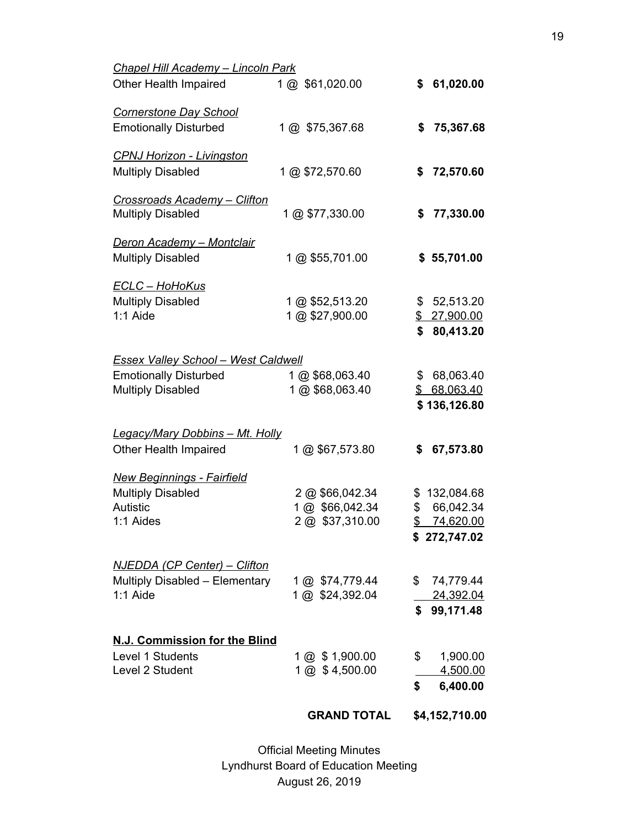|                                                                            | <b>GRAND TOTAL</b>                 | \$4,152,710.00                  |
|----------------------------------------------------------------------------|------------------------------------|---------------------------------|
|                                                                            |                                    | \$<br>6,400.00                  |
| Level 1 Students<br>Level 2 Student                                        | 1 @ \$1,900.00<br>1 @ \$4,500.00   | \$<br>1,900.00<br>4,500.00      |
| N.J. Commission for the Blind                                              |                                    |                                 |
|                                                                            |                                    | \$99,171.48                     |
| Multiply Disabled - Elementary<br>$1:1$ Aide                               | 1 @ \$74,779.44<br>1 @ \$24,392.04 | \$74,779.44<br>24,392.04        |
| <u>NJEDDA (CP Center) – Clifton</u>                                        |                                    |                                 |
| 1:1 Aides                                                                  | 2 @ \$37,310.00                    | \$74,620.00<br>\$272,747.02     |
| <b>Multiply Disabled</b><br>Autistic                                       | 2 @ \$66,042.34<br>1 @ \$66,042.34 | \$<br>132,084.68<br>\$66,042.34 |
| <b>New Beginnings - Fairfield</b>                                          |                                    |                                 |
| Legacy/Mary Dobbins - Mt. Holly<br>Other Health Impaired                   | 1 @ \$67,573.80                    | \$<br>67,573.80                 |
|                                                                            |                                    | \$136,126.80                    |
| <b>Multiply Disabled</b>                                                   | 1 @ \$68,063.40                    | \$ 68,063.40                    |
| <b>Essex Valley School - West Caldwell</b><br><b>Emotionally Disturbed</b> | 1 @ \$68,063.40                    | \$68,063.40                     |
|                                                                            |                                    | \$80,413.20                     |
| <b>ECLC - HoHoKus</b><br><b>Multiply Disabled</b><br>$1:1$ Aide            | 1 @ \$52,513.20<br>1 @ \$27,900.00 | \$52,513.20<br>\$ 27,900.00     |
| <b>Multiply Disabled</b>                                                   | 1 @ \$55,701.00                    | \$55,701.00                     |
| <b>Deron Academy - Montclair</b>                                           |                                    |                                 |
| <b>Crossroads Academy - Clifton</b><br><b>Multiply Disabled</b>            | 1 @ \$77,330.00                    | \$<br>77,330.00                 |
| <b>Multiply Disabled</b>                                                   | 1 @ \$72,570.60                    | \$<br>72,570.60                 |
| <b>CPNJ Horizon - Livingston</b>                                           |                                    |                                 |
| <b>Cornerstone Day School</b><br><b>Emotionally Disturbed</b>              | 1 @ \$75,367.68                    | \$<br>75,367.68                 |
| Other Health Impaired                                                      | 1 @ \$61,020.00                    | \$<br>61,020.00                 |
| <b>Chapel Hill Academy - Lincoln Park</b>                                  |                                    |                                 |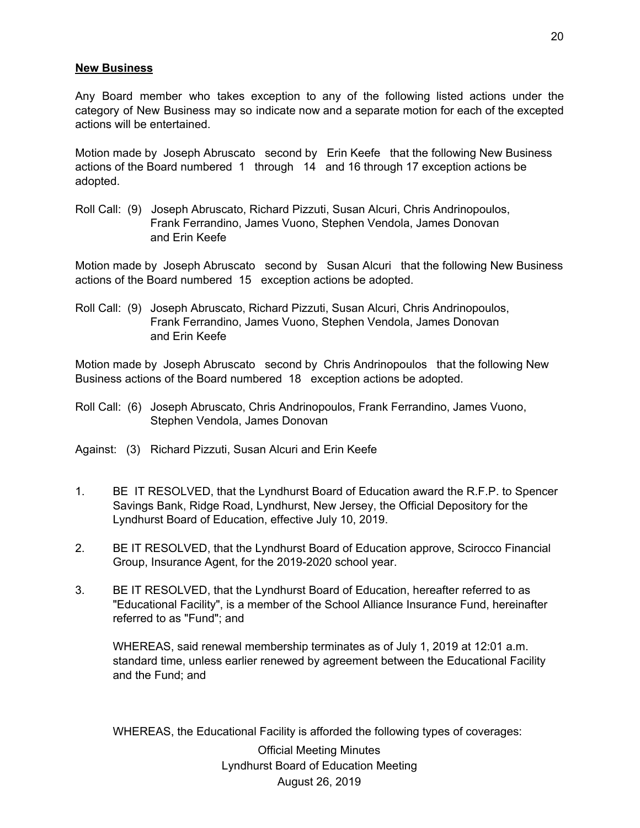#### **New Business**

Any Board member who takes exception to any of the following listed actions under the category of New Business may so indicate now and a separate motion for each of the excepted actions will be entertained.

Motion made by Joseph Abruscato second by Erin Keefe that the following New Business actions of the Board numbered 1 through 14 and 16 through 17 exception actions be adopted.

Roll Call: (9) Joseph Abruscato, Richard Pizzuti, Susan Alcuri, Chris Andrinopoulos, Frank Ferrandino, James Vuono, Stephen Vendola, James Donovan and Erin Keefe

Motion made by Joseph Abruscato second by Susan Alcuri that the following New Business actions of the Board numbered 15 exception actions be adopted.

Roll Call: (9) Joseph Abruscato, Richard Pizzuti, Susan Alcuri, Chris Andrinopoulos, Frank Ferrandino, James Vuono, Stephen Vendola, James Donovan and Erin Keefe

Motion made by Joseph Abruscato second by Chris Andrinopoulos that the following New Business actions of the Board numbered 18 exception actions be adopted.

- Roll Call: (6) Joseph Abruscato, Chris Andrinopoulos, Frank Ferrandino, James Vuono, Stephen Vendola, James Donovan
- Against: (3) Richard Pizzuti, Susan Alcuri and Erin Keefe
- 1. BE IT RESOLVED, that the Lyndhurst Board of Education award the R.F.P. to Spencer Savings Bank, Ridge Road, Lyndhurst, New Jersey, the Official Depository for the Lyndhurst Board of Education, effective July 10, 2019.
- 2. BE IT RESOLVED, that the Lyndhurst Board of Education approve, Scirocco Financial Group, Insurance Agent, for the 2019-2020 school year.
- 3. BE IT RESOLVED, that the Lyndhurst Board of Education, hereafter referred to as "Educational Facility", is a member of the School Alliance Insurance Fund, hereinafter referred to as "Fund"; and

WHEREAS, said renewal membership terminates as of July 1, 2019 at 12:01 a.m. standard time, unless earlier renewed by agreement between the Educational Facility and the Fund; and

WHEREAS, the Educational Facility is afforded the following types of coverages: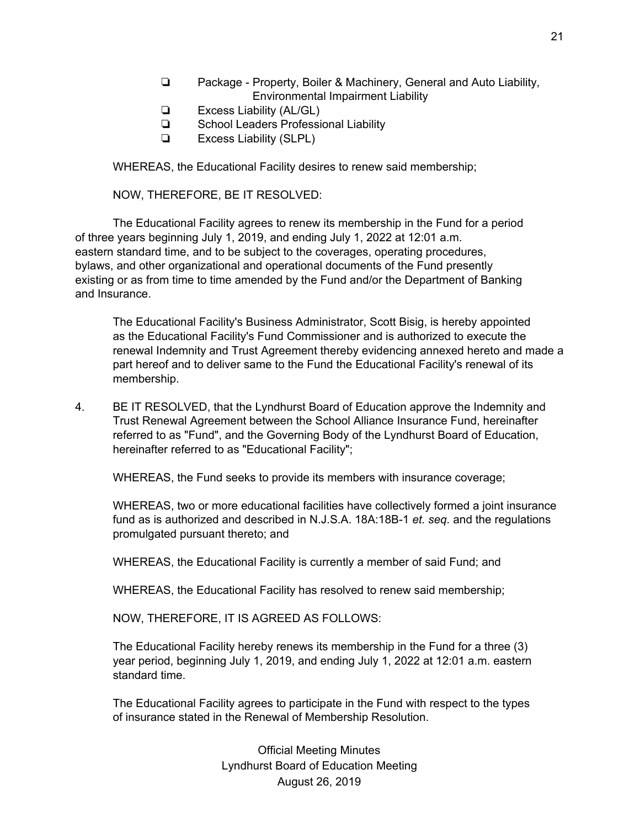- ❏ Package Property, Boiler & Machinery, General and Auto Liability, Environmental Impairment Liability
- ❏ Excess Liability (AL/GL)
- ❏ School Leaders Professional Liability
- ❏ Excess Liability (SLPL)

WHEREAS, the Educational Facility desires to renew said membership;

NOW, THEREFORE, BE IT RESOLVED:

The Educational Facility agrees to renew its membership in the Fund for a period of three years beginning July 1, 2019, and ending July 1, 2022 at 12:01 a.m. eastern standard time, and to be subject to the coverages, operating procedures, bylaws, and other organizational and operational documents of the Fund presently existing or as from time to time amended by the Fund and/or the Department of Banking and Insurance.

The Educational Facility's Business Administrator, Scott Bisig, is hereby appointed as the Educational Facility's Fund Commissioner and is authorized to execute the renewal Indemnity and Trust Agreement thereby evidencing annexed hereto and made a part hereof and to deliver same to the Fund the Educational Facility's renewal of its membership.

4. BE IT RESOLVED, that the Lyndhurst Board of Education approve the Indemnity and Trust Renewal Agreement between the School Alliance Insurance Fund, hereinafter referred to as "Fund", and the Governing Body of the Lyndhurst Board of Education, hereinafter referred to as "Educational Facility";

WHEREAS, the Fund seeks to provide its members with insurance coverage;

WHEREAS, two or more educational facilities have collectively formed a joint insurance fund as is authorized and described in N.J.S.A. 18A:18B-1 *et. seq.* and the regulations promulgated pursuant thereto; and

WHEREAS, the Educational Facility is currently a member of said Fund; and

WHEREAS, the Educational Facility has resolved to renew said membership;

NOW, THEREFORE, IT IS AGREED AS FOLLOWS:

The Educational Facility hereby renews its membership in the Fund for a three (3) year period, beginning July 1, 2019, and ending July 1, 2022 at 12:01 a.m. eastern standard time.

The Educational Facility agrees to participate in the Fund with respect to the types of insurance stated in the Renewal of Membership Resolution.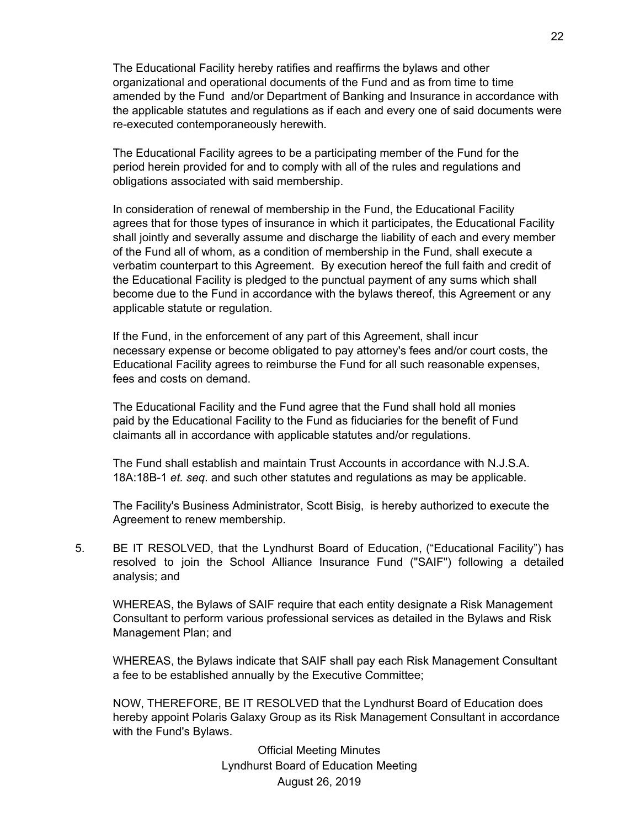The Educational Facility hereby ratifies and reaffirms the bylaws and other organizational and operational documents of the Fund and as from time to time amended by the Fund and/or Department of Banking and Insurance in accordance with the applicable statutes and regulations as if each and every one of said documents were re-executed contemporaneously herewith.

The Educational Facility agrees to be a participating member of the Fund for the period herein provided for and to comply with all of the rules and regulations and obligations associated with said membership.

In consideration of renewal of membership in the Fund, the Educational Facility agrees that for those types of insurance in which it participates, the Educational Facility shall jointly and severally assume and discharge the liability of each and every member of the Fund all of whom, as a condition of membership in the Fund, shall execute a verbatim counterpart to this Agreement. By execution hereof the full faith and credit of the Educational Facility is pledged to the punctual payment of any sums which shall become due to the Fund in accordance with the bylaws thereof, this Agreement or any applicable statute or regulation.

If the Fund, in the enforcement of any part of this Agreement, shall incur necessary expense or become obligated to pay attorney's fees and/or court costs, the Educational Facility agrees to reimburse the Fund for all such reasonable expenses, fees and costs on demand.

The Educational Facility and the Fund agree that the Fund shall hold all monies paid by the Educational Facility to the Fund as fiduciaries for the benefit of Fund claimants all in accordance with applicable statutes and/or regulations.

The Fund shall establish and maintain Trust Accounts in accordance with N.J.S.A. 18A:18B-1 *et. seq*. and such other statutes and regulations as may be applicable.

The Facility's Business Administrator, Scott Bisig, is hereby authorized to execute the Agreement to renew membership.

5. BE IT RESOLVED, that the Lyndhurst Board of Education, ("Educational Facility") has resolved to join the School Alliance Insurance Fund ("SAIF") following a detailed analysis; and

WHEREAS, the Bylaws of SAIF require that each entity designate a Risk Management Consultant to perform various professional services as detailed in the Bylaws and Risk Management Plan; and

WHEREAS, the Bylaws indicate that SAIF shall pay each Risk Management Consultant a fee to be established annually by the Executive Committee;

NOW, THEREFORE, BE IT RESOLVED that the Lyndhurst Board of Education does hereby appoint Polaris Galaxy Group as its Risk Management Consultant in accordance with the Fund's Bylaws.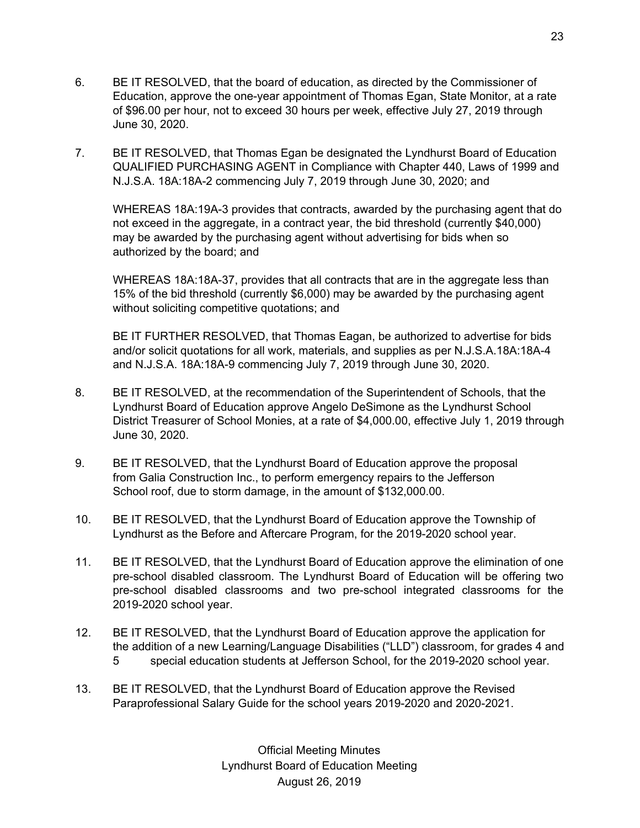- 6. BE IT RESOLVED, that the board of education, as directed by the Commissioner of Education, approve the one-year appointment of Thomas Egan, State Monitor, at a rate of \$96.00 per hour, not to exceed 30 hours per week, effective July 27, 2019 through June 30, 2020.
- 7. BE IT RESOLVED, that Thomas Egan be designated the Lyndhurst Board of Education QUALIFIED PURCHASING AGENT in Compliance with Chapter 440, Laws of 1999 and N.J.S.A. 18A:18A-2 commencing July 7, 2019 through June 30, 2020; and

WHEREAS 18A:19A-3 provides that contracts, awarded by the purchasing agent that do not exceed in the aggregate, in a contract year, the bid threshold (currently \$40,000) may be awarded by the purchasing agent without advertising for bids when so authorized by the board; and

WHEREAS 18A:18A-37, provides that all contracts that are in the aggregate less than 15% of the bid threshold (currently \$6,000) may be awarded by the purchasing agent without soliciting competitive quotations; and

BE IT FURTHER RESOLVED, that Thomas Eagan, be authorized to advertise for bids and/or solicit quotations for all work, materials, and supplies as per N.J.S.A.18A:18A-4 and N.J.S.A. 18A:18A-9 commencing July 7, 2019 through June 30, 2020.

- 8. BE IT RESOLVED, at the recommendation of the Superintendent of Schools, that the Lyndhurst Board of Education approve Angelo DeSimone as the Lyndhurst School District Treasurer of School Monies, at a rate of \$4,000.00, effective July 1, 2019 through June 30, 2020.
- 9. BE IT RESOLVED, that the Lyndhurst Board of Education approve the proposal from Galia Construction Inc., to perform emergency repairs to the Jefferson School roof, due to storm damage, in the amount of \$132,000.00.
- 10. BE IT RESOLVED, that the Lyndhurst Board of Education approve the Township of Lyndhurst as the Before and Aftercare Program, for the 2019-2020 school year.
- 11. BE IT RESOLVED, that the Lyndhurst Board of Education approve the elimination of one pre-school disabled classroom. The Lyndhurst Board of Education will be offering two pre-school disabled classrooms and two pre-school integrated classrooms for the 2019-2020 school year.
- 12. BE IT RESOLVED, that the Lyndhurst Board of Education approve the application for the addition of a new Learning/Language Disabilities ("LLD") classroom, for grades 4 and 5 special education students at Jefferson School, for the 2019-2020 school year.
- 13. BE IT RESOLVED, that the Lyndhurst Board of Education approve the Revised Paraprofessional Salary Guide for the school years 2019-2020 and 2020-2021.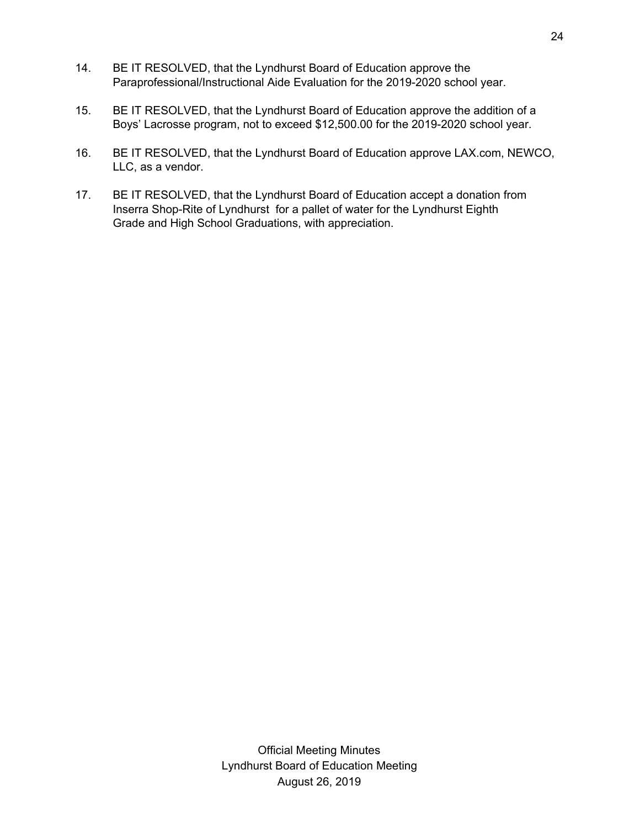- 14. BE IT RESOLVED, that the Lyndhurst Board of Education approve the Paraprofessional/Instructional Aide Evaluation for the 2019-2020 school year.
- 15. BE IT RESOLVED, that the Lyndhurst Board of Education approve the addition of a Boys' Lacrosse program, not to exceed \$12,500.00 for the 2019-2020 school year.
- 16. BE IT RESOLVED, that the Lyndhurst Board of Education approve LAX.com, NEWCO, LLC, as a vendor.
- 17. BE IT RESOLVED, that the Lyndhurst Board of Education accept a donation from Inserra Shop-Rite of Lyndhurst for a pallet of water for the Lyndhurst Eighth Grade and High School Graduations, with appreciation.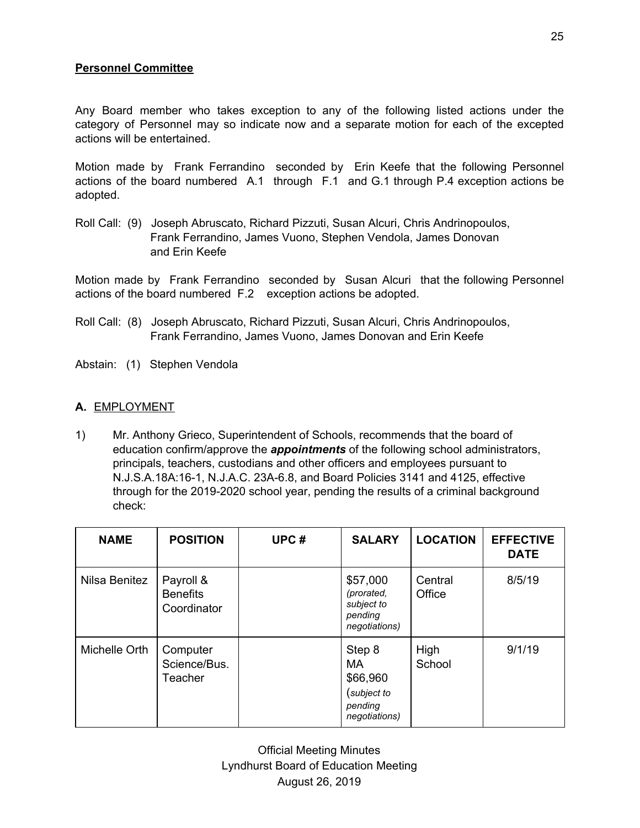# **Personnel Committee**

Any Board member who takes exception to any of the following listed actions under the category of Personnel may so indicate now and a separate motion for each of the excepted actions will be entertained.

Motion made by Frank Ferrandino seconded by Erin Keefe that the following Personnel actions of the board numbered A.1 through F.1 and G.1 through P.4 exception actions be adopted.

Roll Call: (9) Joseph Abruscato, Richard Pizzuti, Susan Alcuri, Chris Andrinopoulos, Frank Ferrandino, James Vuono, Stephen Vendola, James Donovan and Erin Keefe

Motion made by Frank Ferrandino seconded by Susan Alcuri that the following Personnel actions of the board numbered F.2 exception actions be adopted.

- Roll Call: (8) Joseph Abruscato, Richard Pizzuti, Susan Alcuri, Chris Andrinopoulos, Frank Ferrandino, James Vuono, James Donovan and Erin Keefe
- Abstain: (1) Stephen Vendola

### **A.** EMPLOYMENT

1) Mr. Anthony Grieco, Superintendent of Schools, recommends that the board of education confirm/approve the *appointments* of the following school administrators, principals, teachers, custodians and other officers and employees pursuant to N.J.S.A.18A:16-1, N.J.A.C. 23A-6.8, and Board Policies 3141 and 4125, effective through for the 2019-2020 school year, pending the results of a criminal background check:

| <b>NAME</b>   | <b>POSITION</b>                             | UPC# | <b>SALARY</b>                                                       | <b>LOCATION</b>   | <b>EFFECTIVE</b><br><b>DATE</b> |
|---------------|---------------------------------------------|------|---------------------------------------------------------------------|-------------------|---------------------------------|
| Nilsa Benitez | Payroll &<br><b>Benefits</b><br>Coordinator |      | \$57,000<br>(prorated,<br>subject to<br>pending<br>negotiations)    | Central<br>Office | 8/5/19                          |
| Michelle Orth | Computer<br>Science/Bus.<br>Teacher         |      | Step 8<br>MA<br>\$66,960<br>(subject to<br>pending<br>negotiations) | High<br>School    | 9/1/19                          |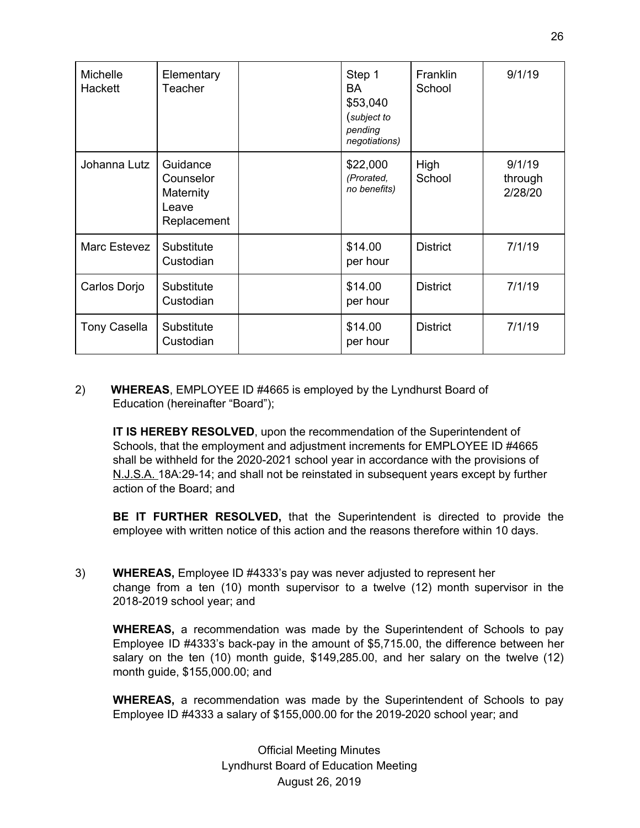| <b>Michelle</b><br>Hackett | Elementary<br>Teacher                                      | Step 1<br>BA<br>\$53,040<br>(subject to<br>pending<br>negotiations) | Franklin<br>School | 9/1/19                       |
|----------------------------|------------------------------------------------------------|---------------------------------------------------------------------|--------------------|------------------------------|
| Johanna Lutz               | Guidance<br>Counselor<br>Maternity<br>Leave<br>Replacement | \$22,000<br>(Prorated,<br>no benefits)                              | High<br>School     | 9/1/19<br>through<br>2/28/20 |
| Marc Estevez               | Substitute<br>Custodian                                    | \$14.00<br>per hour                                                 | <b>District</b>    | 7/1/19                       |
| Carlos Dorjo               | Substitute<br>Custodian                                    | \$14.00<br>per hour                                                 | <b>District</b>    | 7/1/19                       |
| <b>Tony Casella</b>        | Substitute<br>Custodian                                    | \$14.00<br>per hour                                                 | <b>District</b>    | 7/1/19                       |

### 2) **WHEREAS**, EMPLOYEE ID #4665 is employed by the Lyndhurst Board of Education (hereinafter "Board");

**IT IS HEREBY RESOLVED**, upon the recommendation of the Superintendent of Schools, that the employment and adjustment increments for EMPLOYEE ID #4665 shall be withheld for the 2020-2021 school year in accordance with the provisions of N.J.S.A. 18A:29-14; and shall not be reinstated in subsequent years except by further action of the Board; and

**BE IT FURTHER RESOLVED,** that the Superintendent is directed to provide the employee with written notice of this action and the reasons therefore within 10 days.

3) **WHEREAS,** Employee ID #4333's pay was never adjusted to represent her change from a ten (10) month supervisor to a twelve (12) month supervisor in the 2018-2019 school year; and

**WHEREAS,** a recommendation was made by the Superintendent of Schools to pay Employee ID #4333's back-pay in the amount of \$5,715.00, the difference between her salary on the ten (10) month guide, \$149,285.00, and her salary on the twelve (12) month guide, \$155,000.00; and

**WHEREAS,** a recommendation was made by the Superintendent of Schools to pay Employee ID #4333 a salary of \$155,000.00 for the 2019-2020 school year; and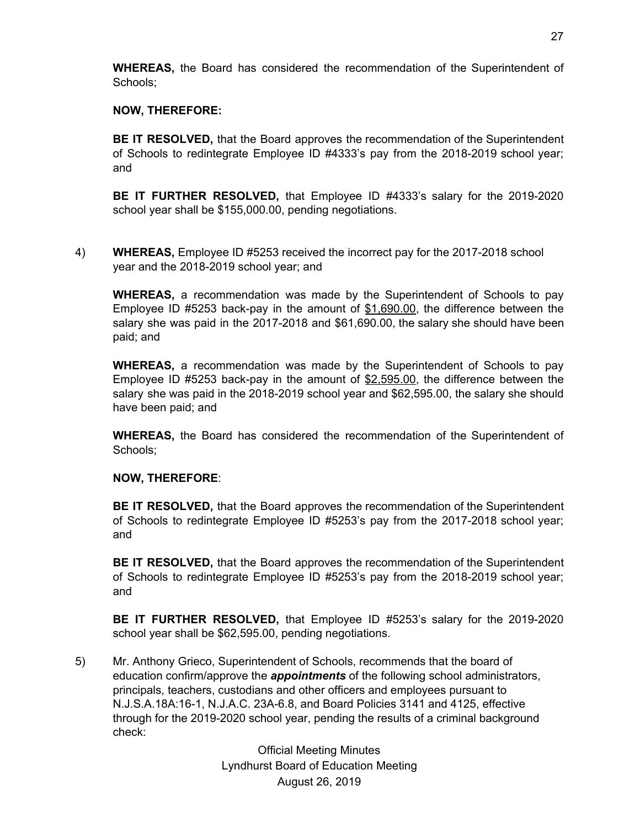**WHEREAS,** the Board has considered the recommendation of the Superintendent of Schools;

## **NOW, THEREFORE:**

**BE IT RESOLVED,** that the Board approves the recommendation of the Superintendent of Schools to redintegrate Employee ID #4333's pay from the 2018-2019 school year; and

**BE IT FURTHER RESOLVED,** that Employee ID #4333's salary for the 2019-2020 school year shall be \$155,000.00, pending negotiations.

4) **WHEREAS,** Employee ID #5253 received the incorrect pay for the 2017-2018 school year and the 2018-2019 school year; and

**WHEREAS,** a recommendation was made by the Superintendent of Schools to pay Employee ID #5253 back-pay in the amount of \$1,690.00, the difference between the salary she was paid in the 2017-2018 and \$61,690.00, the salary she should have been paid; and

**WHEREAS,** a recommendation was made by the Superintendent of Schools to pay Employee ID #5253 back-pay in the amount of \$2,595.00, the difference between the salary she was paid in the 2018-2019 school year and \$62,595.00, the salary she should have been paid; and

**WHEREAS,** the Board has considered the recommendation of the Superintendent of Schools;

#### **NOW, THEREFORE**:

**BE IT RESOLVED,** that the Board approves the recommendation of the Superintendent of Schools to redintegrate Employee ID #5253's pay from the 2017-2018 school year; and

**BE IT RESOLVED,** that the Board approves the recommendation of the Superintendent of Schools to redintegrate Employee ID #5253's pay from the 2018-2019 school year; and

**BE IT FURTHER RESOLVED,** that Employee ID #5253's salary for the 2019-2020 school year shall be \$62,595.00, pending negotiations.

5) Mr. Anthony Grieco, Superintendent of Schools, recommends that the board of education confirm/approve the *appointments* of the following school administrators, principals, teachers, custodians and other officers and employees pursuant to N.J.S.A.18A:16-1, N.J.A.C. 23A-6.8, and Board Policies 3141 and 4125, effective through for the 2019-2020 school year, pending the results of a criminal background check: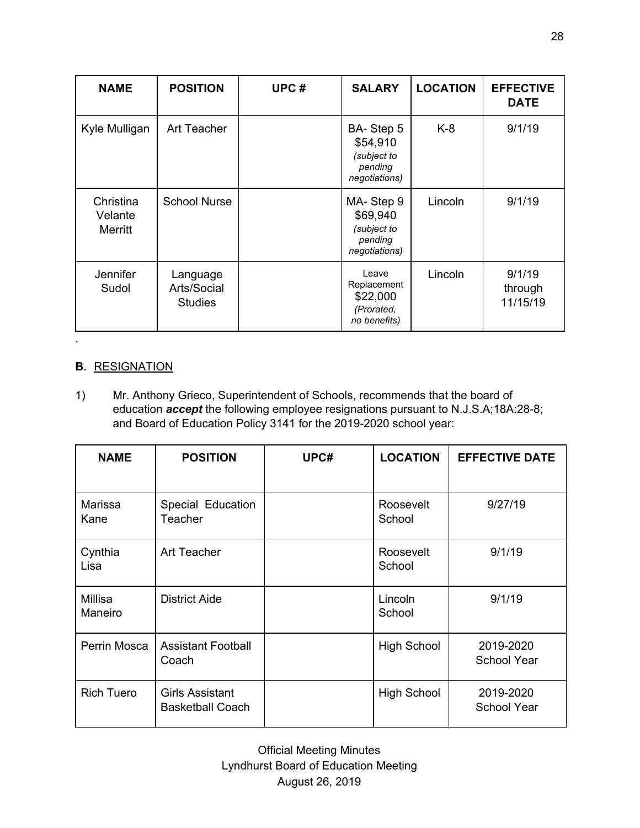| <b>NAME</b>                     | <b>POSITION</b>                           | UPC# | <b>SALARY</b>                                                    | <b>LOCATION</b> | <b>EFFECTIVE</b><br><b>DATE</b> |
|---------------------------------|-------------------------------------------|------|------------------------------------------------------------------|-----------------|---------------------------------|
| Kyle Mulligan                   | Art Teacher                               |      | BA-Step 5<br>\$54,910<br>(subject to<br>pending<br>negotiations) | K-8             | 9/1/19                          |
| Christina<br>Velante<br>Merritt | <b>School Nurse</b>                       |      | MA-Step 9<br>\$69,940<br>(subject to<br>pending<br>negotiations) | Lincoln         | 9/1/19                          |
| Jennifer<br>Sudol               | Language<br>Arts/Social<br><b>Studies</b> |      | Leave<br>Replacement<br>\$22,000<br>(Prorated,<br>no benefits)   | Lincoln         | 9/1/19<br>through<br>11/15/19   |

## **B.** RESIGNATION

.

1) Mr. Anthony Grieco, Superintendent of Schools, recommends that the board of education *accept* the following employee resignations pursuant to N.J.S.A;18A:28-8; and Board of Education Policy 3141 for the 2019-2020 school year:

| <b>NAME</b>        | <b>POSITION</b>                                   | UPC# | <b>LOCATION</b>     | <b>EFFECTIVE DATE</b>           |
|--------------------|---------------------------------------------------|------|---------------------|---------------------------------|
| Marissa<br>Kane    | Special Education<br><b>Teacher</b>               |      | Roosevelt<br>School | 9/27/19                         |
| Cynthia<br>Lisa    | Art Teacher                                       |      | Roosevelt<br>School | 9/1/19                          |
| Millisa<br>Maneiro | <b>District Aide</b>                              |      | Lincoln<br>School   | 9/1/19                          |
| Perrin Mosca       | <b>Assistant Football</b><br>Coach                |      | <b>High School</b>  | 2019-2020<br><b>School Year</b> |
| <b>Rich Tuero</b>  | <b>Girls Assistant</b><br><b>Basketball Coach</b> |      | <b>High School</b>  | 2019-2020<br><b>School Year</b> |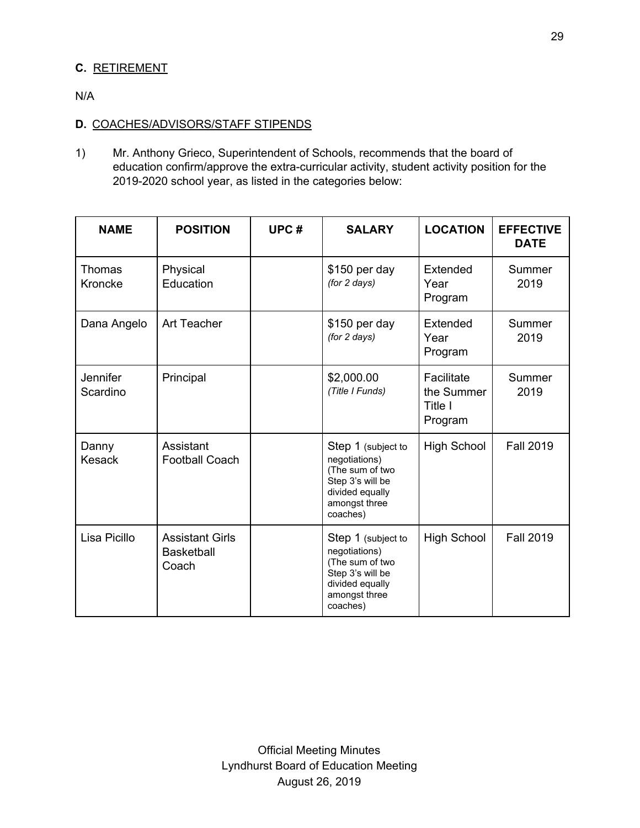# **C.** RETIREMENT

N/A

## **D.** COACHES/ADVISORS/STAFF STIPENDS

1) Mr. Anthony Grieco, Superintendent of Schools, recommends that the board of education confirm/approve the extra-curricular activity, student activity position for the 2019-2020 school year, as listed in the categories below:

| <b>NAME</b>              | <b>POSITION</b>                                      | UPC# | <b>SALARY</b>                                                                                                              | <b>LOCATION</b>                                | <b>EFFECTIVE</b><br><b>DATE</b> |
|--------------------------|------------------------------------------------------|------|----------------------------------------------------------------------------------------------------------------------------|------------------------------------------------|---------------------------------|
| <b>Thomas</b><br>Kroncke | Physical<br>Education                                |      | \$150 per day<br>(for 2 days)                                                                                              | Extended<br>Year<br>Program                    | Summer<br>2019                  |
| Dana Angelo              | <b>Art Teacher</b>                                   |      | \$150 per day<br>(for 2 days)                                                                                              | Extended<br>Year<br>Program                    | Summer<br>2019                  |
| Jennifer<br>Scardino     | Principal                                            |      | \$2,000.00<br>(Title I Funds)                                                                                              | Facilitate<br>the Summer<br>Title I<br>Program | Summer<br>2019                  |
| Danny<br><b>Kesack</b>   | Assistant<br><b>Football Coach</b>                   |      | Step 1 (subject to<br>negotiations)<br>(The sum of two<br>Step 3's will be<br>divided equally<br>amongst three<br>coaches) | <b>High School</b>                             | <b>Fall 2019</b>                |
| Lisa Picillo             | <b>Assistant Girls</b><br><b>Basketball</b><br>Coach |      | Step 1 (subject to<br>negotiations)<br>(The sum of two<br>Step 3's will be<br>divided equally<br>amongst three<br>coaches) | <b>High School</b>                             | <b>Fall 2019</b>                |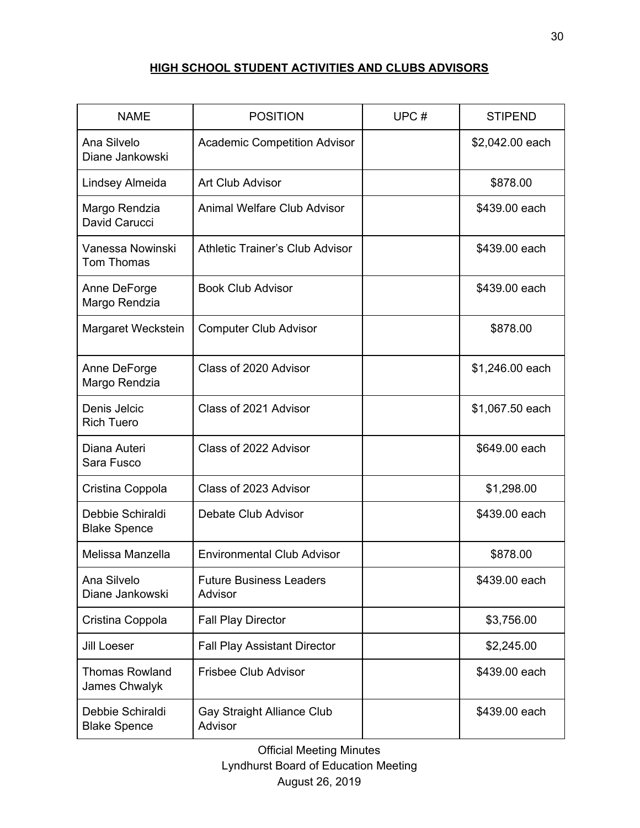# **HIGH SCHOOL STUDENT ACTIVITIES AND CLUBS ADVISORS**

| <b>NAME</b>                             | <b>POSITION</b>                              | UPC# | <b>STIPEND</b>  |
|-----------------------------------------|----------------------------------------------|------|-----------------|
| Ana Silvelo<br>Diane Jankowski          | <b>Academic Competition Advisor</b>          |      | \$2,042.00 each |
| Lindsey Almeida                         | Art Club Advisor                             |      | \$878.00        |
| Margo Rendzia<br>David Carucci          | <b>Animal Welfare Club Advisor</b>           |      | \$439.00 each   |
| Vanessa Nowinski<br>Tom Thomas          | <b>Athletic Trainer's Club Advisor</b>       |      | \$439.00 each   |
| Anne DeForge<br>Margo Rendzia           | <b>Book Club Advisor</b>                     |      | \$439.00 each   |
| Margaret Weckstein                      | <b>Computer Club Advisor</b>                 |      | \$878.00        |
| Anne DeForge<br>Margo Rendzia           | Class of 2020 Advisor                        |      | \$1,246.00 each |
| Denis Jelcic<br><b>Rich Tuero</b>       | Class of 2021 Advisor                        |      | \$1,067.50 each |
| Diana Auteri<br>Sara Fusco              | Class of 2022 Advisor                        |      | \$649.00 each   |
| Cristina Coppola                        | Class of 2023 Advisor                        |      | \$1,298.00      |
| Debbie Schiraldi<br><b>Blake Spence</b> | Debate Club Advisor                          |      | \$439.00 each   |
| Melissa Manzella                        | <b>Environmental Club Advisor</b>            |      | \$878.00        |
| Ana Silvelo<br>Diane Jankowski          | <b>Future Business Leaders</b><br>Advisor    |      | \$439.00 each   |
| Cristina Coppola                        | <b>Fall Play Director</b>                    |      | \$3,756.00      |
| <b>Jill Loeser</b>                      | <b>Fall Play Assistant Director</b>          |      | \$2,245.00      |
| <b>Thomas Rowland</b><br>James Chwalyk  | <b>Frisbee Club Advisor</b>                  |      | \$439.00 each   |
| Debbie Schiraldi<br><b>Blake Spence</b> | <b>Gay Straight Alliance Club</b><br>Advisor |      | \$439.00 each   |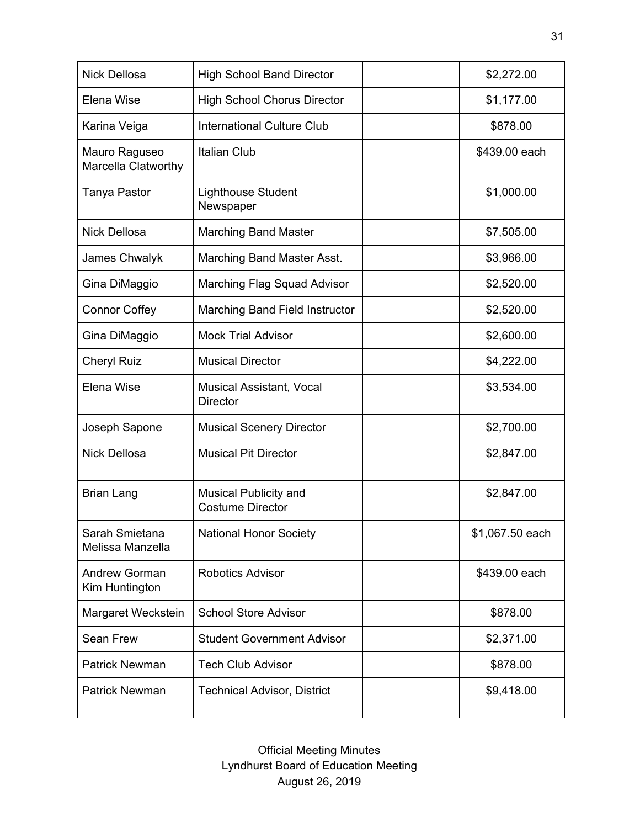| <b>Nick Dellosa</b>                    | <b>High School Band Director</b>                   | \$2,272.00      |
|----------------------------------------|----------------------------------------------------|-----------------|
| Elena Wise                             | <b>High School Chorus Director</b>                 | \$1,177.00      |
| Karina Veiga                           | <b>International Culture Club</b>                  | \$878.00        |
| Mauro Raguseo<br>Marcella Clatworthy   | <b>Italian Club</b>                                | \$439.00 each   |
| Tanya Pastor                           | <b>Lighthouse Student</b><br>Newspaper             | \$1,000.00      |
| <b>Nick Dellosa</b>                    | <b>Marching Band Master</b>                        | \$7,505.00      |
| James Chwalyk                          | Marching Band Master Asst.                         | \$3,966.00      |
| Gina DiMaggio                          | Marching Flag Squad Advisor                        | \$2,520.00      |
| <b>Connor Coffey</b>                   | Marching Band Field Instructor                     | \$2,520.00      |
| Gina DiMaggio                          | <b>Mock Trial Advisor</b>                          | \$2,600.00      |
| <b>Cheryl Ruiz</b>                     | <b>Musical Director</b>                            | \$4,222.00      |
| Elena Wise                             | <b>Musical Assistant, Vocal</b><br><b>Director</b> | \$3,534.00      |
| Joseph Sapone                          | <b>Musical Scenery Director</b>                    | \$2,700.00      |
| <b>Nick Dellosa</b>                    | <b>Musical Pit Director</b>                        | \$2,847.00      |
| Brian Lang                             | Musical Publicity and<br><b>Costume Director</b>   | \$2,847.00      |
| Sarah Smietana<br>Melissa Manzella     | <b>National Honor Society</b>                      | \$1,067.50 each |
| <b>Andrew Gorman</b><br>Kim Huntington | <b>Robotics Advisor</b>                            | \$439.00 each   |
| Margaret Weckstein                     | <b>School Store Advisor</b>                        | \$878.00        |
| Sean Frew                              | <b>Student Government Advisor</b>                  | \$2,371.00      |
| <b>Patrick Newman</b>                  | <b>Tech Club Advisor</b>                           | \$878.00        |
| <b>Patrick Newman</b>                  | <b>Technical Advisor, District</b>                 | \$9,418.00      |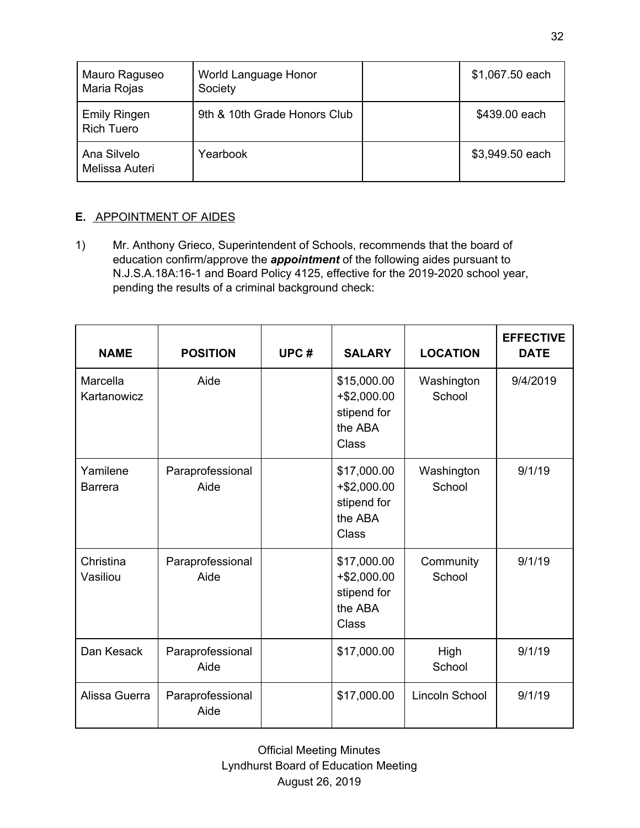| Mauro Raguseo<br>Maria Rojas             | World Language Honor<br>Society | \$1,067.50 each |
|------------------------------------------|---------------------------------|-----------------|
| <b>Emily Ringen</b><br><b>Rich Tuero</b> | 9th & 10th Grade Honors Club    | \$439.00 each   |
| Ana Silvelo<br>Melissa Auteri            | Yearbook                        | \$3,949.50 each |

# **E.** APPOINTMENT OF AIDES

1) Mr. Anthony Grieco, Superintendent of Schools, recommends that the board of education confirm/approve the *appointment* of the following aides pursuant to N.J.S.A.18A:16-1 and Board Policy 4125, effective for the 2019-2020 school year, pending the results of a criminal background check:

| <b>NAME</b>                | <b>POSITION</b>          | UPC# | <b>SALARY</b>                                                          | <b>LOCATION</b>      | <b>EFFECTIVE</b><br><b>DATE</b> |
|----------------------------|--------------------------|------|------------------------------------------------------------------------|----------------------|---------------------------------|
| Marcella<br>Kartanowicz    | Aide                     |      | \$15,000.00<br>$+ $2,000.00$<br>stipend for<br>the ABA<br><b>Class</b> | Washington<br>School | 9/4/2019                        |
| Yamilene<br><b>Barrera</b> | Paraprofessional<br>Aide |      | \$17,000.00<br>$+$ \$2,000.00<br>stipend for<br>the ABA<br>Class       | Washington<br>School | 9/1/19                          |
| Christina<br>Vasiliou      | Paraprofessional<br>Aide |      | \$17,000.00<br>$+$ \$2,000.00<br>stipend for<br>the ABA<br>Class       | Community<br>School  | 9/1/19                          |
| Dan Kesack                 | Paraprofessional<br>Aide |      | \$17,000.00                                                            | High<br>School       | 9/1/19                          |
| Alissa Guerra              | Paraprofessional<br>Aide |      | \$17,000.00                                                            | Lincoln School       | 9/1/19                          |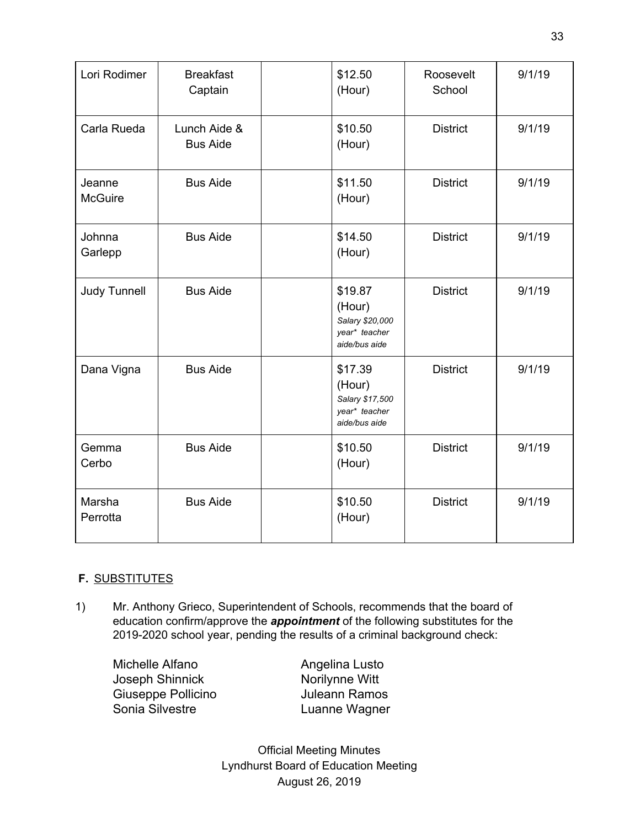| Lori Rodimer             | <b>Breakfast</b><br>Captain     | \$12.50<br>(Hour)                                                      | Roosevelt<br>School | 9/1/19 |
|--------------------------|---------------------------------|------------------------------------------------------------------------|---------------------|--------|
| Carla Rueda              | Lunch Aide &<br><b>Bus Aide</b> | \$10.50<br>(Hour)                                                      | <b>District</b>     | 9/1/19 |
| Jeanne<br><b>McGuire</b> | <b>Bus Aide</b>                 | \$11.50<br>(Hour)                                                      | <b>District</b>     | 9/1/19 |
| Johnna<br>Garlepp        | <b>Bus Aide</b>                 | \$14.50<br>(Hour)                                                      | <b>District</b>     | 9/1/19 |
| <b>Judy Tunnell</b>      | <b>Bus Aide</b>                 | \$19.87<br>(Hour)<br>Salary \$20,000<br>year* teacher<br>aide/bus aide | <b>District</b>     | 9/1/19 |
| Dana Vigna               | <b>Bus Aide</b>                 | \$17.39<br>(Hour)<br>Salary \$17,500<br>year* teacher<br>aide/bus aide | <b>District</b>     | 9/1/19 |
| Gemma<br>Cerbo           | <b>Bus Aide</b>                 | \$10.50<br>(Hour)                                                      | <b>District</b>     | 9/1/19 |
| Marsha<br>Perrotta       | <b>Bus Aide</b>                 | \$10.50<br>(Hour)                                                      | <b>District</b>     | 9/1/19 |

# **F.** SUBSTITUTES

1) Mr. Anthony Grieco, Superintendent of Schools, recommends that the board of education confirm/approve the *appointment* of the following substitutes for the 2019-2020 school year, pending the results of a criminal background check:

Michelle Alfano **Angelina Lusto** Joseph Shinnick Norilynne Witt Giuseppe Pollicino<br>
Sonia Silvestre 
Sonia Silvestre

Tuanne Wagner

Luanne Wagner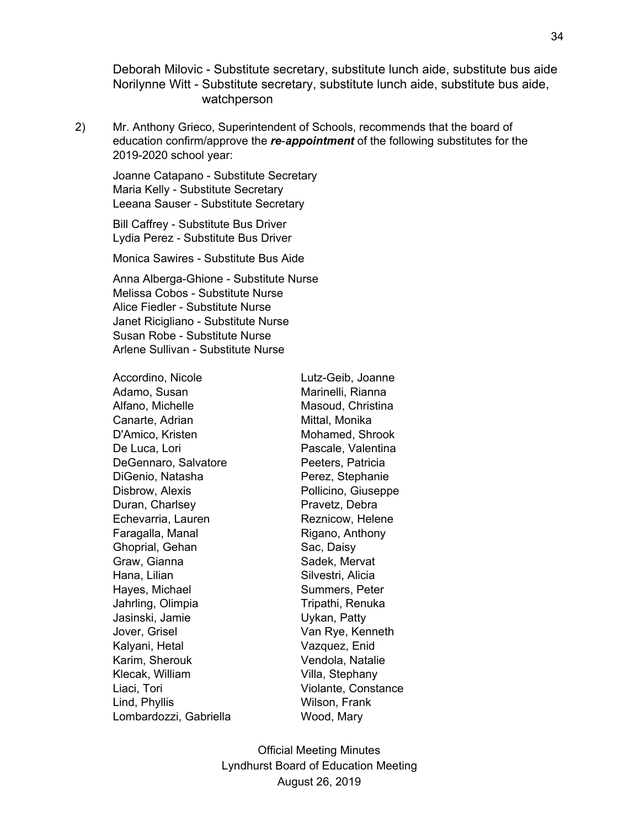Deborah Milovic - Substitute secretary, substitute lunch aide, substitute bus aide Norilynne Witt - Substitute secretary, substitute lunch aide, substitute bus aide, watchperson

2) Mr. Anthony Grieco, Superintendent of Schools, recommends that the board of education confirm/approve the *re*-*appointment* of the following substitutes for the 2019-2020 school year:

Joanne Catapano - Substitute Secretary Maria Kelly - Substitute Secretary Leeana Sauser - Substitute Secretary

Bill Caffrey - Substitute Bus Driver Lydia Perez - Substitute Bus Driver

Monica Sawires - Substitute Bus Aide

Anna Alberga-Ghione - Substitute Nurse Melissa Cobos - Substitute Nurse Alice Fiedler - Substitute Nurse Janet Ricigliano - Substitute Nurse Susan Robe - Substitute Nurse Arlene Sullivan - Substitute Nurse

| Accordino, Nicole      | Lutz-Geib, Joanne   |
|------------------------|---------------------|
| Adamo, Susan           | Marinelli, Rianna   |
| Alfano, Michelle       | Masoud, Christina   |
| Canarte, Adrian        | Mittal, Monika      |
| D'Amico, Kristen       | Mohamed, Shrook     |
| De Luca, Lori          | Pascale, Valentina  |
| DeGennaro, Salvatore   | Peeters, Patricia   |
| DiGenio, Natasha       | Perez, Stephanie    |
| Disbrow, Alexis        | Pollicino, Giuseppe |
| Duran, Charlsey        | Pravetz, Debra      |
| Echevarria, Lauren     | Reznicow, Helene    |
| Faragalla, Manal       | Rigano, Anthony     |
| Ghoprial, Gehan        | Sac, Daisy          |
| Graw, Gianna           | Sadek, Mervat       |
| Hana, Lilian           | Silvestri, Alicia   |
| Hayes, Michael         | Summers, Peter      |
| Jahrling, Olimpia      | Tripathi, Renuka    |
| Jasinski, Jamie        | Uykan, Patty        |
| Jover, Grisel          | Van Rye, Kenneth    |
| Kalyani, Hetal         | Vazquez, Enid       |
| Karim, Sherouk         | Vendola, Natalie    |
| Klecak, William        | Villa, Stephany     |
| Liaci, Tori            | Violante, Constance |
| Lind, Phyllis          | Wilson, Frank       |
| Lombardozzi, Gabriella | Wood, Mary          |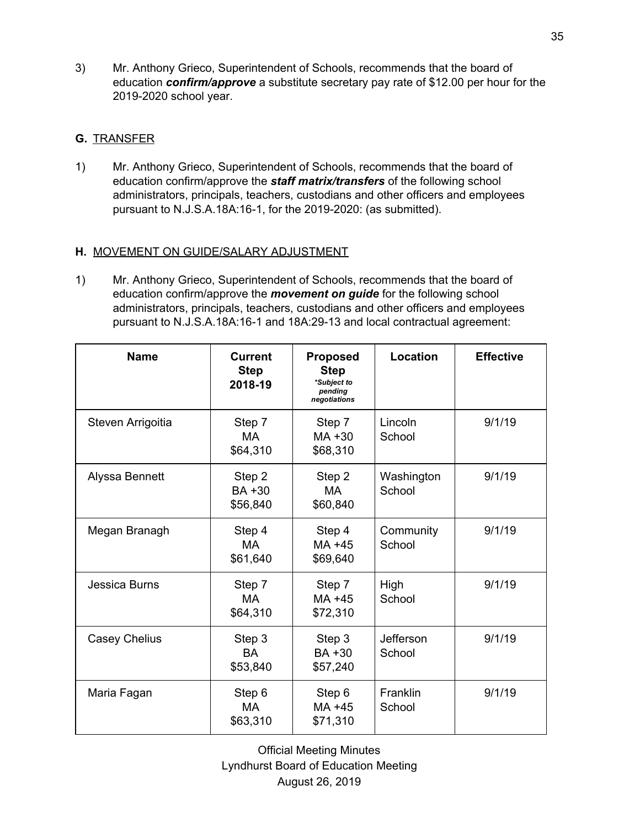3) Mr. Anthony Grieco, Superintendent of Schools, recommends that the board of education *confirm/approve* a substitute secretary pay rate of \$12.00 per hour for the 2019-2020 school year.

# **G.** TRANSFER

1) Mr. Anthony Grieco, Superintendent of Schools, recommends that the board of education confirm/approve the *staff matrix/transfers* of the following school administrators, principals, teachers, custodians and other officers and employees pursuant to N.J.S.A.18A:16-1, for the 2019-2020: (as submitted).

# **H.** MOVEMENT ON GUIDE/SALARY ADJUSTMENT

1) Mr. Anthony Grieco, Superintendent of Schools, recommends that the board of education confirm/approve the *movement on guide* for the following school administrators, principals, teachers, custodians and other officers and employees pursuant to N.J.S.A.18A:16-1 and 18A:29-13 and local contractual agreement:

| <b>Name</b>          | <b>Current</b><br><b>Step</b><br>2018-19 | <b>Proposed</b><br><b>Step</b><br>*Subject to<br>pending<br>negotiations | Location             | <b>Effective</b> |
|----------------------|------------------------------------------|--------------------------------------------------------------------------|----------------------|------------------|
| Steven Arrigoitia    | Step 7<br>MA<br>\$64,310                 | Step 7<br>$MA + 30$<br>\$68,310                                          | Lincoln<br>School    | 9/1/19           |
| Alyssa Bennett       | Step 2<br>BA +30<br>\$56,840             | Step 2<br>MA<br>\$60,840                                                 | Washington<br>School | 9/1/19           |
| Megan Branagh        | Step 4<br>МA<br>\$61,640                 | Step 4<br>MA +45<br>\$69,640                                             | Community<br>School  | 9/1/19           |
| Jessica Burns        | Step 7<br><b>MA</b><br>\$64,310          | Step 7<br>MA +45<br>\$72,310                                             | High<br>School       | 9/1/19           |
| <b>Casey Chelius</b> | Step 3<br><b>BA</b><br>\$53,840          | Step 3<br>BA +30<br>\$57,240                                             | Jefferson<br>School  | 9/1/19           |
| Maria Fagan          | Step 6<br>MA<br>\$63,310                 | Step 6<br>MA +45<br>\$71,310                                             | Franklin<br>School   | 9/1/19           |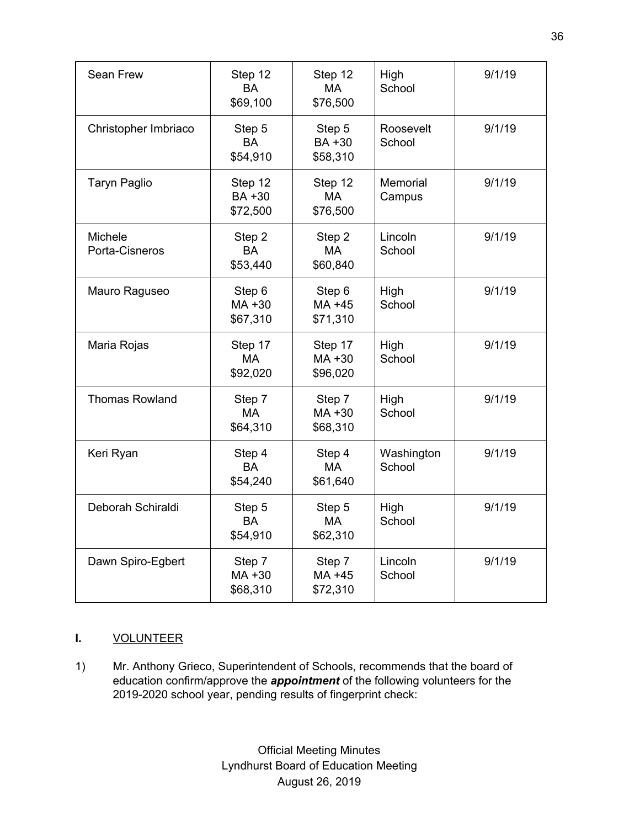| Sean Frew                        | Step 12<br><b>BA</b><br>\$69,100    | Step 12<br><b>MA</b><br>\$76,500 | High<br>School       | 9/1/19 |
|----------------------------------|-------------------------------------|----------------------------------|----------------------|--------|
| Christopher Imbriaco             | Step 5<br><b>BA</b><br>\$54,910     | Step 5<br>BA +30<br>\$58,310     | Roosevelt<br>School  | 9/1/19 |
| <b>Taryn Paglio</b>              | Step 12<br><b>BA+30</b><br>\$72,500 | Step 12<br><b>MA</b><br>\$76,500 | Memorial<br>Campus   | 9/1/19 |
| <b>Michele</b><br>Porta-Cisneros | Step 2<br><b>BA</b><br>\$53,440     | Step 2<br><b>MA</b><br>\$60,840  | Lincoln<br>School    | 9/1/19 |
| Mauro Raguseo                    | Step 6<br>MA +30<br>\$67,310        | Step 6<br>MA +45<br>\$71,310     | High<br>School       | 9/1/19 |
| Maria Rojas                      | Step 17<br><b>MA</b><br>\$92,020    | Step 17<br>MA +30<br>\$96,020    | High<br>School       | 9/1/19 |
| <b>Thomas Rowland</b>            | Step 7<br><b>MA</b><br>\$64,310     | Step 7<br>MA +30<br>\$68,310     | High<br>School       | 9/1/19 |
| Keri Ryan                        | Step 4<br><b>BA</b><br>\$54,240     | Step 4<br><b>MA</b><br>\$61,640  | Washington<br>School | 9/1/19 |
| Deborah Schiraldi                | Step 5<br><b>BA</b><br>\$54,910     | Step 5<br>MA<br>\$62,310         | High<br>School       | 9/1/19 |
| Dawn Spiro-Egbert                | Step 7<br>MA +30<br>\$68,310        | Step 7<br>MA +45<br>\$72,310     | Lincoln<br>School    | 9/1/19 |

# **I.** VOLUNTEER

1) Mr. Anthony Grieco, Superintendent of Schools, recommends that the board of education confirm/approve the *appointment* of the following volunteers for the 2019-2020 school year, pending results of fingerprint check: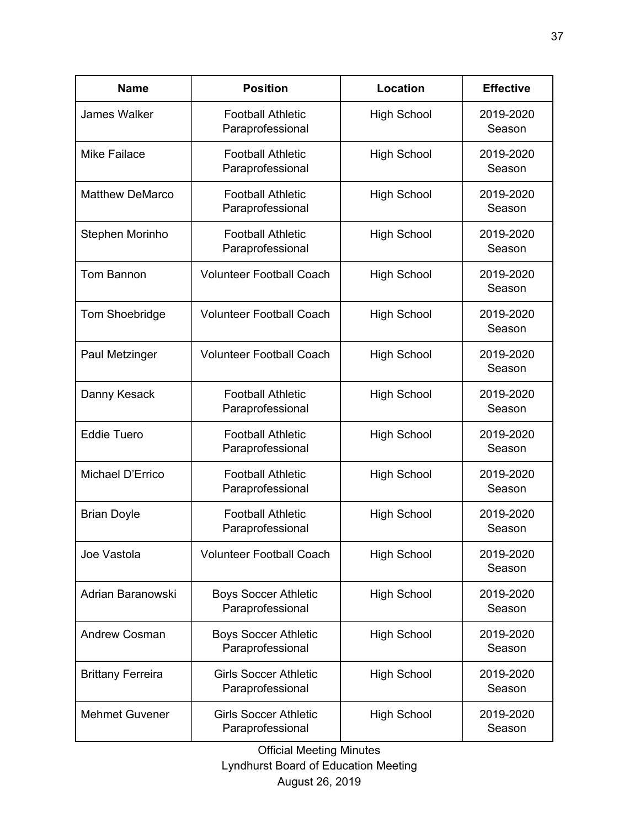| <b>Name</b>              | <b>Position</b>                                  | <b>Location</b>    | <b>Effective</b>    |
|--------------------------|--------------------------------------------------|--------------------|---------------------|
| James Walker             | <b>Football Athletic</b><br>Paraprofessional     | <b>High School</b> | 2019-2020<br>Season |
| <b>Mike Failace</b>      | <b>Football Athletic</b><br>Paraprofessional     | High School        | 2019-2020<br>Season |
| <b>Matthew DeMarco</b>   | <b>Football Athletic</b><br>Paraprofessional     | <b>High School</b> | 2019-2020<br>Season |
| Stephen Morinho          | <b>Football Athletic</b><br>Paraprofessional     | <b>High School</b> | 2019-2020<br>Season |
| Tom Bannon               | <b>Volunteer Football Coach</b>                  | <b>High School</b> | 2019-2020<br>Season |
| Tom Shoebridge           | <b>Volunteer Football Coach</b>                  | <b>High School</b> | 2019-2020<br>Season |
| Paul Metzinger           | <b>Volunteer Football Coach</b>                  | <b>High School</b> | 2019-2020<br>Season |
| Danny Kesack             | <b>Football Athletic</b><br>Paraprofessional     | <b>High School</b> | 2019-2020<br>Season |
| <b>Eddie Tuero</b>       | <b>Football Athletic</b><br>Paraprofessional     | <b>High School</b> | 2019-2020<br>Season |
| Michael D'Errico         | <b>Football Athletic</b><br>Paraprofessional     | <b>High School</b> | 2019-2020<br>Season |
| <b>Brian Doyle</b>       | <b>Football Athletic</b><br>Paraprofessional     | <b>High School</b> | 2019-2020<br>Season |
| Joe Vastola              | <b>Volunteer Football Coach</b>                  | <b>High School</b> | 2019-2020<br>Season |
| Adrian Baranowski        | <b>Boys Soccer Athletic</b><br>Paraprofessional  | <b>High School</b> | 2019-2020<br>Season |
| <b>Andrew Cosman</b>     | <b>Boys Soccer Athletic</b><br>Paraprofessional  | <b>High School</b> | 2019-2020<br>Season |
| <b>Brittany Ferreira</b> | <b>Girls Soccer Athletic</b><br>Paraprofessional | <b>High School</b> | 2019-2020<br>Season |
| <b>Mehmet Guvener</b>    | <b>Girls Soccer Athletic</b><br>Paraprofessional | <b>High School</b> | 2019-2020<br>Season |

Official Meeting Minutes

Lyndhurst Board of Education Meeting August 26, 2019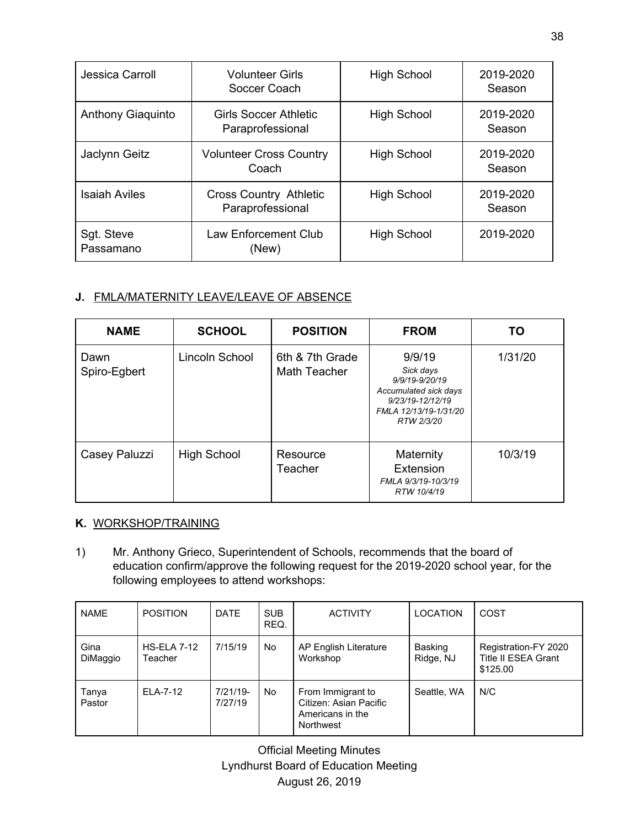| Jessica Carroll         | <b>Volunteer Girls</b><br>Soccer Coach            | <b>High School</b> | 2019-2020<br>Season |
|-------------------------|---------------------------------------------------|--------------------|---------------------|
| Anthony Giaquinto       | <b>Girls Soccer Athletic</b><br>Paraprofessional  | <b>High School</b> | 2019-2020<br>Season |
| Jaclynn Geitz           | <b>Volunteer Cross Country</b><br>Coach           | <b>High School</b> | 2019-2020<br>Season |
| <b>Isaiah Aviles</b>    | <b>Cross Country Athletic</b><br>Paraprofessional | <b>High School</b> | 2019-2020<br>Season |
| Sgt. Steve<br>Passamano | <b>Law Enforcement Club</b><br>(New)              | <b>High School</b> | 2019-2020           |

# **J.** FMLA/MATERNITY LEAVE/LEAVE OF ABSENCE

| <b>NAME</b>          | <b>SCHOOL</b>      | <b>POSITION</b>                        | <b>FROM</b>                                                                                                               | TO.     |
|----------------------|--------------------|----------------------------------------|---------------------------------------------------------------------------------------------------------------------------|---------|
| Dawn<br>Spiro-Egbert | Lincoln School     | 6th & 7th Grade<br><b>Math Teacher</b> | 9/9/19<br>Sick days<br>9/9/19-9/20/19<br>Accumulated sick days<br>9/23/19-12/12/19<br>FMLA 12/13/19-1/31/20<br>RTW 2/3/20 | 1/31/20 |
| Casey Paluzzi        | <b>High School</b> | Resource<br>Teacher                    | Maternity<br>Extension<br>FMLA 9/3/19-10/3/19<br>RTW 10/4/19                                                              | 10/3/19 |

# **K.** WORKSHOP/TRAINING

1) Mr. Anthony Grieco, Superintendent of Schools, recommends that the board of education confirm/approve the following request for the 2019-2020 school year, for the following employees to attend workshops:

| <b>NAME</b>      | <b>POSITION</b>               | <b>DATE</b>         | <b>SUB</b><br>REQ. | <b>ACTIVITY</b>                                                              | LOCATION             | COST                                                           |
|------------------|-------------------------------|---------------------|--------------------|------------------------------------------------------------------------------|----------------------|----------------------------------------------------------------|
| Gina<br>DiMaggio | <b>HS-ELA 7-12</b><br>Teacher | 7/15/19             | <b>No</b>          | AP English Literature<br>Workshop                                            | Basking<br>Ridge, NJ | Registration-FY 2020<br><b>Title II ESEA Grant</b><br>\$125.00 |
| Tanya<br>Pastor  | ELA-7-12                      | 7/21/19-<br>7/27/19 | <b>No</b>          | From Immigrant to<br>Citizen: Asian Pacific<br>Americans in the<br>Northwest | Seattle, WA          | N/C                                                            |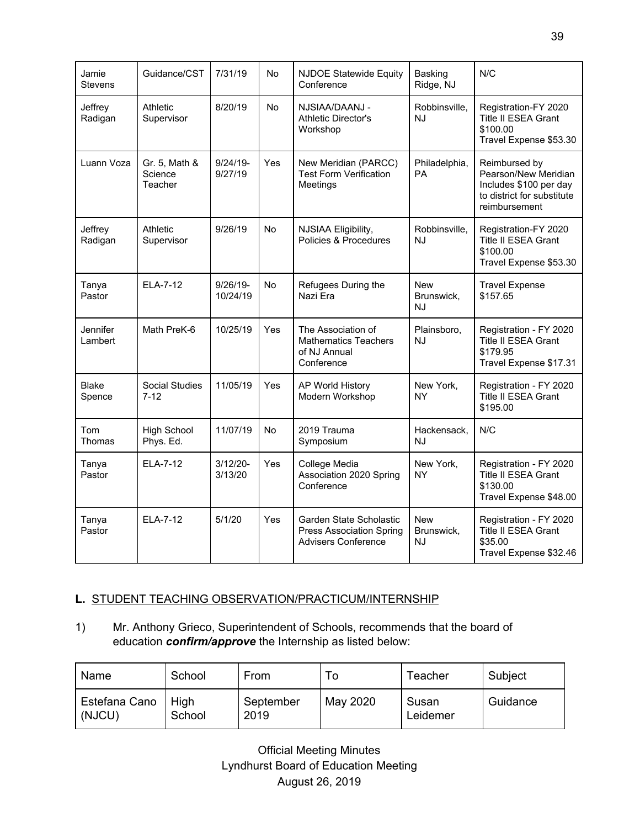| Jamie<br><b>Stevens</b> | Guidance/CST                        | 7/31/19                | <b>No</b> | <b>NJDOE Statewide Equity</b><br>Conference                                              | Basking<br>Ridge, NJ                  | N/C                                                                                                            |
|-------------------------|-------------------------------------|------------------------|-----------|------------------------------------------------------------------------------------------|---------------------------------------|----------------------------------------------------------------------------------------------------------------|
| Jeffrey<br>Radigan      | Athletic<br>Supervisor              | 8/20/19                | <b>No</b> | NJSIAA/DAANJ -<br><b>Athletic Director's</b><br>Workshop                                 | Robbinsville,<br>NJ                   | Registration-FY 2020<br>Title II ESEA Grant<br>\$100.00<br>Travel Expense \$53.30                              |
| Luann Voza              | Gr. 5, Math &<br>Science<br>Teacher | $9/24/19 -$<br>9/27/19 | Yes       | New Meridian (PARCC)<br><b>Test Form Verification</b><br>Meetings                        | Philadelphia,<br><b>PA</b>            | Reimbursed by<br>Pearson/New Meridian<br>Includes \$100 per day<br>to district for substitute<br>reimbursement |
| Jeffrey<br>Radigan      | Athletic<br>Supervisor              | 9/26/19                | <b>No</b> | NJSIAA Eligibility,<br>Policies & Procedures                                             | Robbinsville,<br><b>NJ</b>            | Registration-FY 2020<br>Title II ESEA Grant<br>\$100.00<br>Travel Expense \$53.30                              |
| Tanya<br>Pastor         | <b>ELA-7-12</b>                     | 9/26/19-<br>10/24/19   | <b>No</b> | Refugees During the<br>Nazi Era                                                          | <b>New</b><br>Brunswick,<br>NJ        | <b>Travel Expense</b><br>\$157.65                                                                              |
| Jennifer<br>Lambert     | Math PreK-6                         | 10/25/19               | Yes       | The Association of<br><b>Mathematics Teachers</b><br>of NJ Annual<br>Conference          | Plainsboro,<br><b>NJ</b>              | Registration - FY 2020<br>Title II ESEA Grant<br>\$179.95<br>Travel Expense \$17.31                            |
| <b>Blake</b><br>Spence  | <b>Social Studies</b><br>$7 - 12$   | 11/05/19               | Yes       | AP World History<br>Modern Workshop                                                      | New York,<br><b>NY</b>                | Registration - FY 2020<br>Title II ESEA Grant<br>\$195.00                                                      |
| <b>Tom</b><br>Thomas    | <b>High School</b><br>Phys. Ed.     | 11/07/19               | <b>No</b> | 2019 Trauma<br>Symposium                                                                 | Hackensack,<br>NJ                     | N/C                                                                                                            |
| Tanya<br>Pastor         | ELA-7-12                            | $3/12/20 -$<br>3/13/20 | Yes       | College Media<br>Association 2020 Spring<br>Conference                                   | New York,<br>ΝY                       | Registration - FY 2020<br><b>Title II ESEA Grant</b><br>\$130.00<br>Travel Expense \$48.00                     |
| Tanya<br>Pastor         | ELA-7-12                            | 5/1/20                 | Yes       | Garden State Scholastic<br><b>Press Association Spring</b><br><b>Advisers Conference</b> | <b>New</b><br>Brunswick,<br><b>NJ</b> | Registration - FY 2020<br>Title II ESEA Grant<br>\$35.00<br>Travel Expense \$32.46                             |

# **L.** STUDENT TEACHING OBSERVATION/PRACTICUM/INTERNSHIP

1) Mr. Anthony Grieco, Superintendent of Schools, recommends that the board of education *confirm/approve* the Internship as listed below:

| Name                    | School         | From              | 0        | Teacher           | Subject  |
|-------------------------|----------------|-------------------|----------|-------------------|----------|
| Estefana Cano<br>(NJCU) | High<br>School | September<br>2019 | May 2020 | Susan<br>Leidemer | Guidance |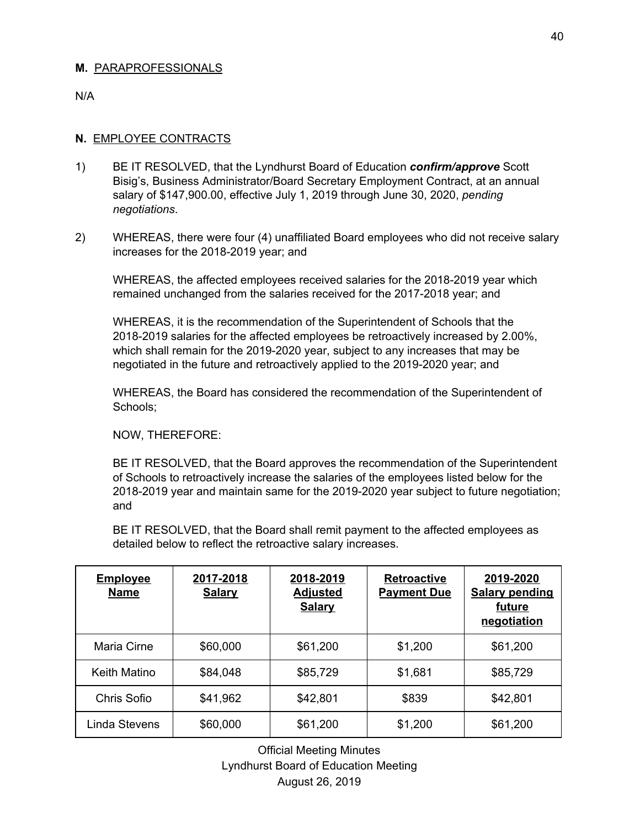## **M.** PARAPROFESSIONALS

N/A

## **N.** EMPLOYEE CONTRACTS

- 1) BE IT RESOLVED, that the Lyndhurst Board of Education *confirm/approve* Scott Bisig's, Business Administrator/Board Secretary Employment Contract, at an annual salary of \$147,900.00, effective July 1, 2019 through June 30, 2020, *pending negotiations*.
- 2) WHEREAS, there were four (4) unaffiliated Board employees who did not receive salary increases for the 2018-2019 year; and

WHEREAS, the affected employees received salaries for the 2018-2019 year which remained unchanged from the salaries received for the 2017-2018 year; and

WHEREAS, it is the recommendation of the Superintendent of Schools that the 2018-2019 salaries for the affected employees be retroactively increased by 2.00%, which shall remain for the 2019-2020 year, subject to any increases that may be negotiated in the future and retroactively applied to the 2019-2020 year; and

WHEREAS, the Board has considered the recommendation of the Superintendent of Schools;

NOW, THEREFORE:

BE IT RESOLVED, that the Board approves the recommendation of the Superintendent of Schools to retroactively increase the salaries of the employees listed below for the 2018-2019 year and maintain same for the 2019-2020 year subject to future negotiation; and

BE IT RESOLVED, that the Board shall remit payment to the affected employees as detailed below to reflect the retroactive salary increases.

| <b>Employee</b><br><b>Name</b> | 2017-2018<br><b>Salary</b> | 2018-2019<br><b>Adjusted</b><br><b>Salary</b> | <b>Retroactive</b><br><b>Payment Due</b> | 2019-2020<br><b>Salary pending</b><br>future<br>negotiation |
|--------------------------------|----------------------------|-----------------------------------------------|------------------------------------------|-------------------------------------------------------------|
| Maria Cirne                    | \$60,000                   | \$61,200                                      | \$1,200                                  | \$61,200                                                    |
| Keith Matino                   | \$84,048                   | \$85,729                                      | \$1,681                                  | \$85,729                                                    |
| Chris Sofio                    | \$41,962                   | \$42,801                                      | \$839                                    | \$42,801                                                    |
| Linda Stevens                  | \$60,000                   | \$61,200                                      | \$1,200                                  | \$61,200                                                    |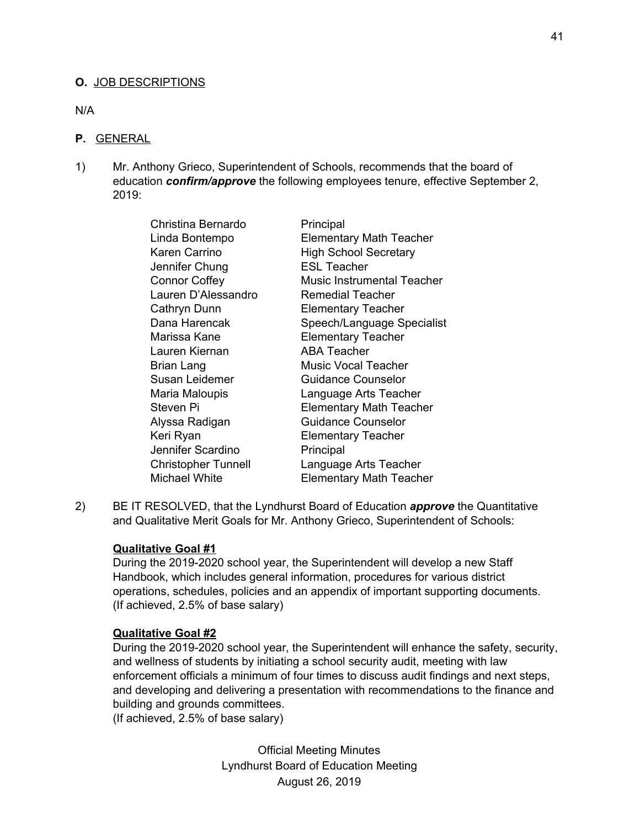## **O.** JOB DESCRIPTIONS

N/A

#### **P.** GENERAL

1) Mr. Anthony Grieco, Superintendent of Schools, recommends that the board of education *confirm/approve* the following employees tenure, effective September 2, 2019:

| Principal                      |
|--------------------------------|
| <b>Elementary Math Teacher</b> |
| <b>High School Secretary</b>   |
| <b>ESL Teacher</b>             |
| Music Instrumental Teacher     |
| <b>Remedial Teacher</b>        |
| <b>Elementary Teacher</b>      |
| Speech/Language Specialist     |
| <b>Elementary Teacher</b>      |
| <b>ABA Teacher</b>             |
| <b>Music Vocal Teacher</b>     |
| <b>Guidance Counselor</b>      |
| Language Arts Teacher          |
| <b>Elementary Math Teacher</b> |
| <b>Guidance Counselor</b>      |
| <b>Elementary Teacher</b>      |
| Principal                      |
| Language Arts Teacher          |
| <b>Elementary Math Teacher</b> |
|                                |

2) BE IT RESOLVED, that the Lyndhurst Board of Education *approve* the Quantitative and Qualitative Merit Goals for Mr. Anthony Grieco, Superintendent of Schools:

#### **Qualitative Goal #1**

During the 2019-2020 school year, the Superintendent will develop a new Staff Handbook, which includes general information, procedures for various district operations, schedules, policies and an appendix of important supporting documents. (If achieved, 2.5% of base salary)

#### **Qualitative Goal #2**

During the 2019-2020 school year, the Superintendent will enhance the safety, security, and wellness of students by initiating a school security audit, meeting with law enforcement officials a minimum of four times to discuss audit findings and next steps, and developing and delivering a presentation with recommendations to the finance and building and grounds committees.

(If achieved, 2.5% of base salary)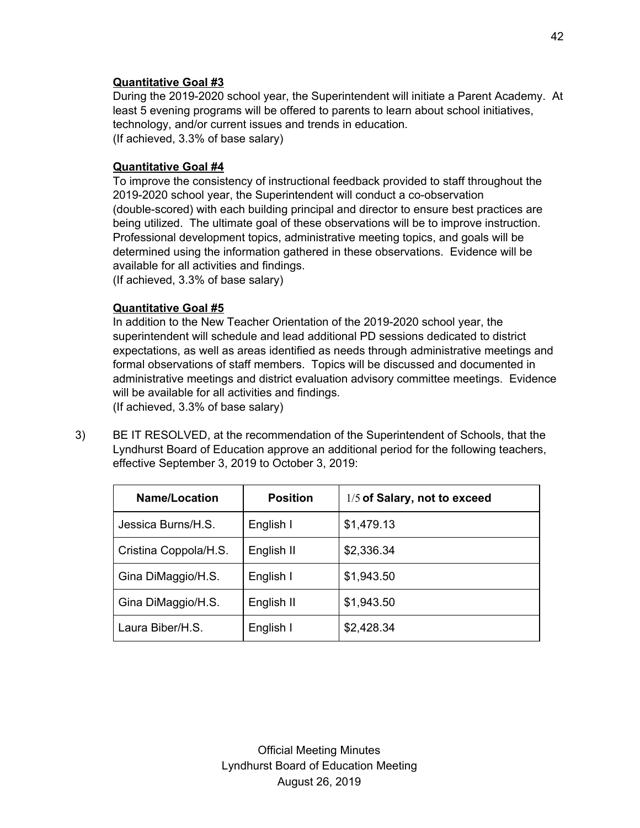# **Quantitative Goal #3**

During the 2019-2020 school year, the Superintendent will initiate a Parent Academy. At least 5 evening programs will be offered to parents to learn about school initiatives, technology, and/or current issues and trends in education. (If achieved, 3.3% of base salary)

# **Quantitative Goal #4**

To improve the consistency of instructional feedback provided to staff throughout the 2019-2020 school year, the Superintendent will conduct a co-observation (double-scored) with each building principal and director to ensure best practices are being utilized. The ultimate goal of these observations will be to improve instruction. Professional development topics, administrative meeting topics, and goals will be determined using the information gathered in these observations. Evidence will be available for all activities and findings.

(If achieved, 3.3% of base salary)

# **Quantitative Goal #5**

In addition to the New Teacher Orientation of the 2019-2020 school year, the superintendent will schedule and lead additional PD sessions dedicated to district expectations, as well as areas identified as needs through administrative meetings and formal observations of staff members. Topics will be discussed and documented in administrative meetings and district evaluation advisory committee meetings. Evidence will be available for all activities and findings.

(If achieved, 3.3% of base salary)

3) BE IT RESOLVED, at the recommendation of the Superintendent of Schools, that the Lyndhurst Board of Education approve an additional period for the following teachers, effective September 3, 2019 to October 3, 2019:

| Name/Location                       | <b>Position</b> | 1/5 of Salary, not to exceed |
|-------------------------------------|-----------------|------------------------------|
| Jessica Burns/H.S.                  | English I       | \$1,479.13                   |
| Cristina Coppola/H.S.<br>English II |                 | \$2,336.34                   |
| Gina DiMaggio/H.S.                  | English I       | \$1,943.50                   |
| Gina DiMaggio/H.S.                  | English II      | \$1,943.50                   |
| Laura Biber/H.S.                    | English I       | \$2,428.34                   |